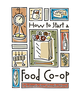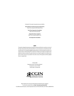Funding for this project was generously provided by:

#### **Howard Bowers Fund for Consumer Cooperatives** http://www.cooperativedevelopment.org

**Twin Pines Cooperative Foundation** http://www.community.coop

*Cooperative Grocer* **magazine** http://www.cooperativegrocer.com

**The Cooperative Foundation**

#### **NOTE**

This guide is designed to give groups interested in starting a retail food co-op a basic overview of the steps and procedures they will need to follow. It is not an exhaustive or comprehensive reference document. It is intended to highlight the general factors critical to starting a successful co-op and to provide an understanding of the overall process. Readers are strongly encouraged to check additional references besides this guide. Resources are listed throughout the material; direct links to online resources are provided in the online version of this guide and will be updated there on a regular basis.

> © March 2002 Cooperative Grocers' Information Network P.O. Box 399 · Arcata, CA 95518 707/445-4849 · www.cgin.org



Reprint rights for this manual are held solely by *Cooperative Grocer* magazine. To review this manual online, see *http://www.cgin.org/howto.html*. For additional printed copies, contact *Cooperative Grocer* at P.O. Box 597; Athens, OH 45701 or 800/878-7333.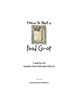



## A guide from the Goperative Grocers' Information Network

© March 2002

**written by Karen Zimbelman**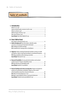## table of contents

#### **I. Introduction**

#### **II. From Talk to Food**

| 1. Gather background: Get information, identify needs, |  |
|--------------------------------------------------------|--|
|                                                        |  |
|                                                        |  |
|                                                        |  |
|                                                        |  |

#### **2. Organize:** Hold a meeting of potential members to discuss needs and options. Select a steering committee to coordinate the group. ........ 16

| and options. Select a steering committee to coordinate the group.  16 |  |
|-----------------------------------------------------------------------|--|

#### **3. Research feasibility:** Survey potential members and conduct market research. Prepare a feasibility study. .................................................. 19 **FYI:** *Key elements of a feasibility study .....................................................* 21

| 4. Review findings and vote to incorporate: Prepare and approve |  |
|-----------------------------------------------------------------|--|
| articles of incorporation and bylaws. Report on the results     |  |
|                                                                 |  |
|                                                                 |  |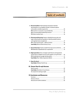## table of contents

| 5. Recruit members: Hold meetings and prepare materials                   |  |
|---------------------------------------------------------------------------|--|
| describing the co-op. Establish member investment options                 |  |
|                                                                           |  |
|                                                                           |  |
|                                                                           |  |
|                                                                           |  |
| 6. Planning and financing: Prepare a detailed business plan and           |  |
| begin researching financing options. Identify possible locations          |  |
|                                                                           |  |
|                                                                           |  |
|                                                                           |  |
| 7. Secure financing: Finalize outside financing sources and terms.  42    |  |
|                                                                           |  |
| 8. Begin operations: Hire a manager, locate fixtures and equipment,       |  |
| finalize layout, establish accounts with suppliers, set up the store.  46 |  |
|                                                                           |  |
|                                                                           |  |
|                                                                           |  |
|                                                                           |  |
| III. Ensure Your Co-op's Success                                          |  |
|                                                                           |  |
|                                                                           |  |
|                                                                           |  |
| <b>IV. Conclusion and Resources</b>                                       |  |
|                                                                           |  |
|                                                                           |  |
|                                                                           |  |
|                                                                           |  |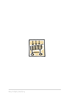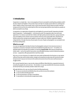## **I. Introduction**

Cooperation is a simple idea—two or more people join forces to accomplish something they probably couldn't do alone. People work together in thousands of ways each day. For example, parents take turns watching each others' children so they can do errands, work, or have some time alone. Farmers help one another with barn raisings and at harvest time. By combining their efforts, by sharing responsibilities, by joining forces, people are able to accomplish many things.

A cooperative is an organization of people who work together for economic benefit. Cooperatives bring the idea of cooperation—working together—to the business world. The cooperative idea is one with many applications. For instance, to provide their children with high-quality preschool education, a group of parents may work together to hire a teacher and rent a facility. To borrow money at favorable rates, individuals and families may put their savings accounts together to create a credit union. Whether cooperation happens independently or through a business, the principle is the same. People working together can accomplish more than those working alone.

#### **What is a co-op?**

A co-op is an organization that takes the idea of working together and puts it into a business structure. A cooperative is a business voluntarily owned and controlled by the people who use it—its members. It is operated solely for the benefit of its members, to meet their *mutual needs.* When groups of people have similar needs—such as the need for lower prices, more affordable housing, or access to telecommunications services—cooperatives offer great potential to meet those needs.

At its core, a co-op is a business. It is subject to the same needs and demands of any business: co-ops require sufficient financing, careful market analysis, strategic and comprehensive planning, well-trained and competent personnel. Co-ops are not immune to the market and economic forces that cause small businesses to struggle and fail.

But in several important ways, co-ops are also unique and different. Most distinctly, a cooperative business is owned by the people who use its services—the members. Co-ops may resemble other businesses outwardly, but the fact that they are owned by members makes them unique.

Although definitions of co-ops vary, they all contain the following elements:

- Co-ops are owned and controlled by those who use their services (the members).
- Co-ops are democratically governed.
- Co-ops are businesses, not clubs or associations.
- Co-ops adhere to internationally recognized principles.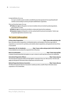#### A simple definition of a co-op:

*A co-op is a member-owned, member-controlled business that operates for the mutual benefit of all members and according to common principles established for cooperatives.*

There are three basic types of co-ops:

- **Producer co-ops** provide goods or services to members who are involved in producing products, such as farmers or artists.
- **Worker co-ops** are owned and controlled on a democratic basis by their employees.
- **Consumer co-ops** provide goods or services used primarily for personal consumption. Food co-ops are typically organized as consumer co-ops.

## for more information

*A Primer about Cooperatives ................................................................ http://www.ncba.org/primer.cfm* Basic information about cooperatives, including descriptions and examples of the three major types of cooperatives, an overview of co-op history, some statistics about cooperatives, and a general overview of how co-ops operate.

*Cooperatives 101: An Introduction ..................... http://www.rurdev.usda.gov/pub/cir55/cir55rpt.htm* A more detailed overview about the cooperative form of business.

*Basic Co-op Orientation .................................................................................... http://www.coop.org/kids* A website oriented toward kids that explains co-ops in a down-to-earth way that everyone can understand.

*International Cooperative Alliance............................................................................ http://www.coop.org* The International Cooperative Alliance brings together cooperatives from over 100 countries. The ICA's web pages provide general information about cooperatives around the world.

*National Cooperative Business Association ............................................................. http://www.ncba.org* The National Cooperative Business Association's website provides a wealth of basic information about cooperatives in the United States.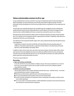## **Values and principles common to all co-ops**

Co-ops worldwide share a common creed. All co-ops share a fundamental respect for all human beings and believe that people can improve themselves economically and socially through mutual help. This basic philosophy has been developed into a list of seven principles that serve as guidelines for how cooperatives do business.

The principles were originally developed in the mid-1800s by groups struggling to provide unadulterated, quality food at fair prices when the market offered them very few options. As times have changed, the principles have been modified slightly, but the basic concepts have remained the same for over 150 years.

Recently, the International Cooperative Alliance (ICA) reviewed the cooperative principles and reformulated them. The "Statement on the Cooperative Identity," approved by ICA members in September 1995, defines the standards by which all co-ops should operate.

The "Statement on the Cooperative Identity" begins with a values statement that describes the beliefs common to all cooperatives:

*Cooperatives are based on the values of self-help, self-responsibility, democracy, equality, equity, and solidarity. In the tradition of their founders, cooperative members believe in the ethical values of honesty, openness, social responsibility, and caring for others.*

In addition to their common values, all co-ops share seven basic principles. These principles outline a democratic structure that can be adapted to businesses providing many different kinds of services and products. Two of the seven principles describe who owns a co-op, two describe how decisions are made, and three list specific ways that co-ops put their beliefs into action.

The seven co-op principles are:

#### **Ownership**

#### **1. Open and voluntary membership**

Co-ops do not limit, for any social, political, or religious reasons, who may join and become a co-owner of the co-op. Co-ops are open to anyone who can make use of their services and is willing to accept the responsibilities involved.

#### **2. Member economic participation**

This principle combines many concepts, all based on the idea that co-ops—and their money—are owned and controlled by their members. Concepts covered:

- Members provide the basic capital (money) to start and operate the co-op.
- $\blacksquare$  If co-ops pay dividends to their member-owners, the rate must be limited.
- Surplus, or profit, resulting from the operations of the co-op belongs to the members, and they control how it will be distributed.
- If a co-op's surplus is returned to members, it will be distributed in proportion to the amount of business each member has conducted with the cooperative.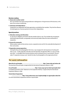#### **Decision making**

#### **3. Democratic member control**

All co-op members have equal voting and decision-making power in the governance of the business, on the basis of one vote per membership.

#### **4. Autonomy and independence**

Cooperatives are independent self-help organizations controlled by their members. They limit the influence of outside agencies or business partners to ensure their independence.

#### **Special practices**

#### **5. Education, training, and information**

Co-ops have an obligation and need to educate members about co-ops. This mandate also encompasses educating the general public, young people, and community leaders about the nature and benefits of cooperation.

#### **6. Concern for community**

While member needs are their primary concern, cooperatives also work for the sustainable development of their communities.

#### **7. Cooperation among cooperatives**

To bring the theory of working together full circle, co-ops recognize the vital importance of working with other co-ops—locally, regionally, nationally, and internationally. Through these efforts, co-ops try to help each other—to strengthen their economic positions and to contribute to the co-op movement. This principle of "cooperation among co-ops" extends the idea of working together to the organizational level.

## for more information

*About the Co-op Principles .................................................................. http://www.ncba.org/values.cfm* The actual text of the principles, as approved by the International Cooperative Alliance in 1995.

*Co-op Principles ......................................................... http://www.coop.org/ica/info/enprinciples.html* A complete presentation of the "Statement on the Cooperative Identity," as approved by the International Cooperative Alliance in 1995.

#### *Tutorial about Cooperatives*

*................................. http://www.mbrservices.com/coopknowledge/co-opprinciples.index.htm* An online tutorial about cooperatives and the co-op principles.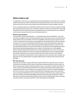## **What is a food co-op?**

In simplest terms, a food co-op is a co-op that buys food and household items for its members. The co-op helps members obtain access to products of desired quality at the best possible price. Food co-ops offer consumers a retail environment free of coercive sales influences and with full disclosure of product qualities and value.

Food co-ops typically operate out of retail facilities. Most are open to anyone who wishes to shop there, though they may provide special services, prices, or benefits to members only. Food co-ops may also offer a wide range of products and services aside from groceries, including pharmacies, dry cleaning, travel services, cooking and nutrition classes, housewares, food service and catering, gas stations, etc.

#### **Hanover, New Hampshire**

In the mid-1930s in Hanover, New Hampshire—as in all communities across the United States—times were hard. Families struggled to make ends meet. Spending \$8 or \$9 per week on groceries was considered excessive and beyond the means of most families. Fresh fruit and vegetables were of poor quality or expensive luxuries. In 1935, 17 residents of this small, remote community gathered in the high school to discuss the idea of starting a consumer co-op. The co-op could help them reduce their grocery costs and would purchase products that were otherwise unavailable. In January 1936, the group formally established the Hanover Consumers' Club. The club started by buying fresh citrus direct from Florida. Any savings were shared among all group members. Before long, the group also negotiated discounts for members on bread, table wine, canned vegetables, gasoline, and fuel oil. Members shared information on where to get good values for services such as haircuts, tailoring, and skate sharpening. The club was successful and quickly outgrew its space in a basement garage. One year after it started, the co-op moved into a retail location; its first-year sales were \$11,400. Today the Hanover Co-op operates two supermarkets, a full-service gas station, and a convenience store. It employs over 300 people and serves 20,000 member households (31,000 members). In 2001, total sales reached more than \$42 million.

#### **St. Peter, Minnesota**

Typical of many "new wave" co-ops, St. Peter Food Co-op was influenced in its early years by the social and cultural forces of the 1960s and 1970s. Interest in natural foods was growing, but there were few sources in St. Peter for these products. A group of residents decided to set up a co-op to meet the need for natural foods. For months, volunteers collected financial contributions from members, built shelves, located used equipment, and got things ready for a new store. When the co-op opened its doors in July 1979, its membership had grown to 60. The co-op's early inventory consisted mostly of bulk foods, including beans, grains, flours, dried fruits and nuts, whole-grain baked goods, and occasionally local produce. For the first two years, member volunteers took care of ordering, receiving, stocking, bagging, cashiering, record keeping, and everything else. Today St. Peter Food Co-op operates a thriving store and deli in the heart of the city. Its 800 members enjoy a wide range of products, and the co-op employs a staff of 40. In 2001, sales totaled around \$1,200,000.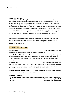#### **Sacramento, California**

In the early 1970s, a number of buying clubs in the Sacramento area helped people gain access to natural foods. The club that eventually became the Sacramento Natural Foods Co-op was formed in 1972. The group met once a month to place bulk orders from a wholesaler and met again a week later to split the purchases among themselves. In September 1973, the group incorporated as a consumer co-op. The co-op began retail operations at 16th and P Streets and quickly expanded into neighboring space. As the co-op grew in popularity and sales volume, it soon became obvious that a new location would be needed. In 1975 the co-op moved to a site with 6,100 square feet of retail, storage, and office facilities. Sales and membership continued to grow, until the co-op once again relocated in May 1989. The co-op now operates out of a 17,000-square-foot facility. It employs 130 staff members to serve almost 7,000 members. Annual sales are approaching \$15 million.

Although there are no precise statistics, approximately 300 food co-ops operate in the United States. The majority of these co-ops sell primarily natural foods. However, some co-ops offer a full line of groceries, sometimes combined with natural foods. The total annual sales volume of food co-ops in the United States is estimated at \$700 to \$750 million.

## for more information

*About Food Co-ops .................................................................................... http://www.ncba.org/food.cfm* All about U.S. food co-ops, including links and background of general interest.

*Cooperative Grocers' Information Network ................................................................ http://www.cgin.org* CGIN is a nonprofit association of North American food co-ops. The website provides general information, resources, and links for food co-ops, as well as a library of materials for members only. CGIN also operates a listserve open to anyone interested in food co-ops.

*Cooperative Grocer............................................................................. http://www.cooperativegrocer.com* Cooperative Grocer magazine is published every other month. Articles cover operations, relocation, expansion, and other topics related to food co-ops. The magazine also conducts an annual operations survey. The website offers an index of all back issues and articles, many of which are also available online.

*University of California Center for Co-ops ........ http://www.cooperatives.ucdavis.edu/what/food.html* An overview of information about food co-ops, focused on the West Coast.

#### **Directories of Food Co-ops**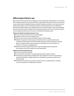## **Different types of food co-ops**

Most consumer food co-ops fall into two categories: conventional and direct charge. (Note that "conventional" does not refer to product line in this instance.) All the co-ops profiled in the previous section are conventional co-ops, and this manual is designed for groups interested in starting conventional co-ops. Some sections may apply to direct charge co-ops, but membership, operations, and financial practices are very different for conventional and direct charge co-ops. (Note that there are very few direct charge co-ops in the United States. They are much more common in Canada.) Those interested in starting a worker co-op or retail store may also find some applicable material, but this manual is not intended for those groups either.

#### **Features of a typical conventional consumer co-op:**

- The store is open to member and non-member shoppers.
- $\blacksquare$  Shoppers may join the co-op as member-owners.
- **Prices are set to cover all costs and should be competitive with the market.**
- Members are required to make an equity investment to join the co-op. Most commonly, that investment is a fixed amount, and once the member has paid, no further investments are needed. Equity is refunded to members upon termination of membership. For more information, see "A Primer on Consumer Co-op Membership."
- Members will receive special benefits; some co-ops may establish specific requirements (e.g., working in the store) for members to receive these benefits.

#### **Features of a direct charge food co-op:**

- The store is open only to members.
- Those interested in joining the co-op will be required to make an equity investment.
- $\blacksquare$  All members are required to pay a weekly fee (the "direct charge") to cover the co-op's fixed costs (overhead, administration, supplies, facilities, etc.). All members are assessed an equal share of the direct charge.
- With fixed costs covered, the co-op marks up items only to cover variable expenses, resulting in very low (in comparison to market) prices to members.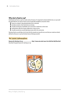## **Why start a food co-op?**

Individuals start food co-ops for a wide variety of reasons. It's important to clearly identify why a co-op would be a good idea for your group. Food co-ops are especially valuable to consumers when:

- access to a unique or specialized product line is restricted
- **n** privately owned or chain food stores are closing
- a locally owned store could better serve consumers' needs than a chain store
- existing stores offer few choices, high prices, or poor service
- $\blacksquare$  a locally owned store would help keep money within the community

Starting a food co-op will take a lot of work. But the rewards are many. Be very sure that your needs are clearly defined so that your co-op has the best chance of being successful.

## for more information

*Reasons for Starting a Co-op ........................... http://www.wisc.edu/uwcc/icic/def-hist/def/five.html* Describes five good reasons for starting a co-op

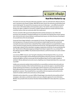## a case study

## **Root River Market Co-op**

The small rural community of Houston, Minnesota, population 1,100, was confronted with a dilemma when the town's only grocery store closed in October 1998. With the store's closure, the community was left without local access to basic goods. The nearest full-service grocery store was 12 miles away—a very difficult commute for senior citizens with limited mobility and transportation options. The need for a full-service grocery store in Houston was urgent. In addition to convenience, residents wanted to patronize a locally owned store and to invest their money in their own community, rather than nearby towns.

The town owned the 7,200-square-foot building that had housed the closed grocery store. While other businesses were interested in renting the building, the city council felt it was important that it remain a grocery store. And since the store's closure had been caused by personal reasons, not a lack of business, the prospects of a successful store at the site seemed good.

Concerned citizens began looking for a new proprietor for the store. They approached a community member who had experience in the grocery business, but he declined, citing the large financial risk involved with running the store alone. Several citizens realized that if they created a cooperative (a concept familiar to many in the rural area), the whole community could share the financial risk. They approached the same community member again, asking if he'd be interesting in managing a cooperatively owned store. He was excited about the idea. They formed an official planning group and began formal steps to organize the co-op, naming it Root River Market Cooperative (RRMC). They elected a board of directors, and the first shares were sold to members on July 1, 1999.

Larry Connery, RRMC's treasurer, said, "During the initial phases of the development of the co-op, we were lucky to have a good manager and diversified board with familiarity with grocery, business, and finances. We worked well together and had a common goal. We all had different talents, and if we made a mistake we admitted it. We also addressed community concerns, dispelling rumors that got started about the co-op as soon as possible."

Initially, some community members had worried that the co-op would be an exclusive store and would carry just a limited line of products. Others had heard that food co-ops carried only organic or natural foods. Many people wanted assurance that the co-op would supply a full line of groceries, just as the old store had. The board addressed these issues directly and made it clear that as a member-owned store, the co-op would be guided by its customers. They stressed that the co-op would be a full-service grocery and would serve the needs of its members and the entire community as well as possible.

Getting the word out about the co-op wasn't difficult. People began to hear about the store quickly, and local newspapers, radio stations, and television stations were soon calling the organizers for more information. Members set up a booth at the annual town Hoe Down festival and talked with visitors about the co-op and its mission.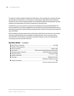The organizers worked on logistics throughout the following year. They consulted with a cooperative development specialist and worked with a co-op wholesaler on startup details. In May 1999, with money obtained through a loan, the co-op hired a general manager, who coordinated the details of selecting product, acquiring equipment, and making repairs to the facility in preparation for opening the store.

Funding for the co-op was secured from a variety of sources. Members loaned and donated \$150,000. This amount enabled the co-op to obtain a \$200,000 loan from the Northcountry Cooperative Development Fund, a participation loan that also involved the National Cooperative Bank. In total, the cost to get the store started and open was \$400,000.

Root River Market Cooperative opened its store on November 6, 2000. About a year later, the co-op's membership stands at 408 households, each investing \$100 in membership shares. The co-op continues to be a community effort, with all members and shoppers committed to making it a success and to keeping a fullservice grocery store alive and well in their town.

#### *Root River Market* — at a glance

|  | \$23,000 per week after one year |
|--|----------------------------------|
|  |                                  |

Information compiled November 2001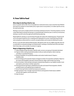## **II. From Talk to Food**

#### **Nine steps to starting a food co-op**

Every co-op starts with an idea. One or two people see a need and envision a way to meet that need. Whether that need is for members to receive better prices, to gain access to new products, or to obtain specific services, the need must be clear.

Starting a co-op is just as complex and time consuming as starting any business. To be done properly, it can't be rushed. Most experts estimate that starting a co-op typically takes at least two years. As with any new business, starting a co-op will involve thorough and careful business planning.

Responsibility for starting a co-op and seeing it through rests mostly with a leadership group. That group will serve as the spark to keep the new co-op going and to help guide it to success. Careful planning, thorough work, and patience will provide the co-op with a strong foundation and increase the likelihood of success.

All new co-ops will need to take the following steps, although the order may vary slightly, especially when the co-op decides to incorporate and begin recruiting members. And keep in mind that some of the work identified in these steps, such as member recruitment, is ongoing.

#### **Steps in Organizing a Food Co-op**

- **1.** Gather background: get information, identify needs, convene a core group of interested individuals
- **2.** Organize: Hold a meeting of potential members to discuss needs and options. Select a steering committee to coordinate the group.
- **3.** Research feasibility: Survey potential members and conduct market research. Prepare a feasibility study.
- **4.** Review findings and incorporate: Prepare and approve articles of incorporation and bylaws. Report on the results of the feasibility study. Elect a board of directors. Begin initial member fund-raising.
- **5.** Recruit members: Hold meetings and prepare materials describing the co-op. Establish member investment options and conduct a member equity drive.
- **6.** Planning and financing: Prepare a detailed business plan and research financing options. Identify possible locations and negotiate lease arrangements.
- **7.** Secure financing: Finalize outside financing sources and terms.
- **8.** Begin operations: Hire a manager, locate store fixtures and equipment, finalize layout, establish accounts with suppliers, and set up the store.
- **9.** Open the doors!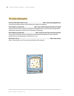## for more information

*Overview of the Steps to Start a Co-op ................................................. http://www.ncba.org/getstart.cfm* A summary of the steps outlined in a book called How to Organize a Cooperative.

*How to Organize a Cooperative ................................ http://www.rurdev.usda.gov/rbs/pub/cir7.cir7.pdf* A general overview of how to organize a cooperative. Developed for all co-ops, but with primary applicability to agricultural cooperatives; written by the U.S. Department of Agriculture.

*How to Organize a Cooperative .................................... http://www.wisc.edu/uwcc/manual/cover.html* The University of Wisconsin Center for Cooperatives and Cooperative Development Services created this detailed resource covering all aspects of starting a new co-op.

*How to Start a Co-op .................................................................................................... http://www.ncb.org* Click on "How to Start a Co-op" for an overview and links to other resources.

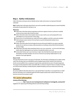## **Step 1. Gather Information**

*Collect information and assess interest, identify common needs, and convene a core group of interested individuals*

**Goal:** To gather basic information about food co-ops and to assemble a leadership group to research feasibility and prepare the groundwork for starting a co-op

#### **What to do:**

- Gather basic information abouat cooperatives and how to organize a food co-op. Review it carefully so that you have a basic idea of what lies ahead.
- Gather information about misconceptions about co-ops as well, so you can be prepared for some of the fallacies you may encounter in future steps.
- Discuss how a co-op could meet your needs with friends, neighbors, and other community members.
- Hold meetings to assess interest in the new food co-op and to tell potential members how a co-op might work.
- Gather information about local and regional resources that may be helpful to your group, especially people who can advise your group, make presentations at meetings, and provide technical assistance at various stages.
- Collect basic information about operating a food co-op in your community—e.g., the cost of retail space, health codes that might apply to your business, the potential market in your area.
- Contact other food co-ops in your local area or region. See what help they may be able to provide. Ask whether one of their members can serve as a resource to your group, explaining how co-ops operate or how to get organized.

#### **Keep in mind:**

This step will primarily involve a core group of individuals. The information and background you gather will be used in the next step, when you will publicize and try to gather/assess further interest in the community. Avoid a common pitfall of new co-op groups: trying to locate a potential site too early in the planning process. Your group must be prepared to make a reasonable offer or commit to a long-term lease on a facility. To do that, you will first need to develop a membership base, establish feasibility, and secure a base level of financing.

#### **Key Decision:**

*Do we have sufficient information about how co-ops operate? Does it seem like a co-op would meet our needs?* Does the information you've collected support the idea enough to justify further research? Does the co-op business structure fit your group's needs?

### for more information

#### *Anatomy of Great Meetings*

*..................... http://www.3m.com/meetingnetwork/readingroom/meetingguide\_anatomy.html* Suggestions for organizing and holding productive and interesting meetings.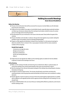

## **Holding Successful Meetings** *Some General Guidelines*

#### **Before the Meeting**

- $\Box$  Choose a time and location that will be convenient for everyone involved. Make sure all individuals know the time and location.
- $\Box$  Publicize the event widely. Put up signs on local bulletin boards, especially places potential members are likely to go. Send press releases about the meeting to local media; include the name of a contact person. Encourage word-of-mouth promotion.
- $\Box$  Be well prepared. Do your homework on the issues to be discussed. Clearly define the goals of the meeting.
- $\Box$  Choose a facilitator and note taker in advance. (Groups that meet regularly may consider rotating the facilitator to give more people a chance to develop facilitating skills.)
- $\Box$  Prepare a written agenda and distribute it ahead of time if possible. For informational meetings (to determine whether there is interest in the co-op), prepare a handout with the names and phone numbers of the core group.

#### *Sample basic agenda*

*Introductions and agenda review Background and reports Discussion and decisions Set the next meeting date/time Adjourn*

 $\Box$  Assign times for each agenda item. Make sure the meeting's goals are realistic for the time allotted. In general, it's best to limit meetings to two hours.

#### **At the Meeting**

- $\Box$  Make sure the meeting is friendly and welcoming. Serve refreshments. Meet in a pleasant place. At community meetings, have someone greet people as they show up and ask them to sign in.
- $\Box$  Start the meeting on time. Review the purpose and goals of the meeting. Have all participants introduce themselves to the group.
- $\Box$  Arrange for someone to take minutes. The minutes should clearly record when and where the meeting took place, what the group discussed and decided, and what issues were considered in making decisions.
- $\Box$  Post the agenda or hand out copies to everyone. Review the whole agenda, explaining items as needed. Ask for additions to the agenda and then ask for approval. Set the ending time for the meeting, if it is not already fixed.
- $\Box$  Choose a skilled facilitator who can ensure that your meeting will be effective, productive, and inclusive. End the meeting on time.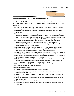

## **Guidelines For Meeting Chairs or Facilitators**

*Facilitators are not authority figures or resource people. The role of the facilitator is to make sure the group accomplishes its goals in a democratic fashion. It is generally best for the facilitator to remain neutral in specific discussions.*

- $\Box$  Call the meeting to order on time. Review the agenda and the goal of the meeting. If appropriate and if time allows, ask participants to introduce themselves.
- $\Box$  Introduce each agenda item and call on those making presentations. Go through the entire agenda item by item.
- $\Box$  Keep the discussion on the topic but encourage participants to express themselves. Encourage the expression of various points of view. Call attention to disagreements. When handled openly, different opinions can yield creative solutions. Ask people to speak for themselves and to be specific. Steer them away from statements such as *"Some people think . . . "* and *"What he is trying to say is . . . ."*
- $\square$  Make sure the discussion doesn't get stuck on a specific item. If the group doesn't have enough information, cut off discussion and choose someone to follow up with more information or a recommendation at a future meeting. If discussion wanders off the topic, remind the group of the agenda item and the objective for the discussion.
- $\Box$  Make sure that everyone has a chance to speak and that one or two people don't monopolize the discussion. Occasionally, check in with those who are being quiet and ask their opinions. Encourage open discussion that allows for disagreement but doesn't tolerate personal attacks.
- $\Box$  Handle any voting needed. Before a vote is taken, clearly state the motion or proposal. Call for a show of hands. If the vote is close, ask someone to verify the vote by counting hands or ballots.
- $\Box$  If the meeting is taking longer than anticipated, decide as a group how to proceed—to either extend the meeting or reschedule some agenda items for the next meeting.
- $\Box$  Conclude the meeting on a note of achievement. Remind participants of actions taken, decisions made, and follow-up needed. Ask participants to evaluate the meeting. Even simple suggestions about what went well and what could be improved will enhance your next meeting.
- $\Box$  Schedule the next meeting and remind participants of its date, time, and location.
- $\Box$  End the meeting on time or as close to on time as possible.

#### **Preventing Disruptive Behavior**

- Get general agreement on the agenda before beginning the meeting.
- Set ground rules for behavior (no interruptions, everyone gets a chance to participate, speakers will be concise, follow time limits, etc.)
- If someone's comments are off track, remind everyone of the goals of the meeting: *"That's an interesting point, but today we're discussing . . ."*
- $\blacksquare$  If someone dominates the discussion, explain the importance of full group participation and call on others for comments.
- Take short breaks, if needed, to relieve tension.
- For problems or issues that can't be resolved on the spot, set up committees rather than using the full group's time.

—portions adapted from "Facilitating Meetings" by Gayle Haberman (unpublished handout)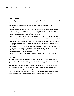## **Step 2. Organize**

*Hold a meeting of potential members to discuss needs and options. Select a steering committee to coordinate the group.*

**Goal:** To assess whether there is enough interest in a co-op to justify further research and planning

#### **What to do:**

- Hold an informational meeting for people who may be interested in a co-op. Publicize the time and purpose of the meeting as widely as possible—through your local paper, word of mouth, radio, employment office, etc. Make the meeting time, date, and location as convenient as possible.
- Plan a clear program for the meeting and select a meeting chair.
- Have someone explain the community's basic need and discuss how a co-op might meet that need. Distribute one or two simple handouts summarizing the basic idea of the co-op. Include the names and phone numbers of core group members.
- Consider inviting guests who can provide support or more detailed background information, such as directors or managers of area co-ops, business leaders or educators familiar with co-ops, or elected officials.
- Allow plenty of discussion time so that people can ask questions and express their views. Be as clear and specific as possible. Be realistic about what the co-op can and can't do—especially in its early stages.
- $\blacksquare$  Ask for participants to indicate their interest in the co-op by a show of hands.
- If there is interest, elect a steering committee.
- Spend some time carefully discussing the purpose or mission of the new co-op. Write a mission statement. Be sure it is clear and concise.

#### **Keep in mind:**

Many new food co-ops find it valuable to start a buying club at this stage. If the co-op will be focusing on a specific product line, the club can access that line immediately and establish a track record with key suppliers. The club can also develop a core membership base and sometimes a small financing base.

Make sure that common needs are defined broadly enough to ensure success; a narrow focus can be very limiting. Conversely, trying to accomplish too much can prevent the focus needed for business success.

#### **Key Decision:** *Is there sufficient interest in a co-op?*

Is there a clear need for a food co-op in your community? Is there sufficient interest among potential shoppers and community members? Are people willing to work together to meet their common needs?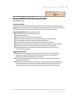# fyi

## **Responsibilities of the Steering Committee**

#### *for a startup co-op*

#### **Overall Responsibility**

The steering committee will coordinate all tasks needed to move the co-op from its early stages through the establishment of more formal structures. Depending on the group's time and resources, the committee may do the following tasks itself, or it may contract with outside consultants for professional assistance.

**Specific Responsibilities** (of the committee as a whole)

- Coordinate all research and information gathering
- Survey potential members
- $\blacksquare$  Establish a membership structure and recruit members
- Oversee collection of market research and studies to determine the co-op's feasibility
- Ensure completion of a feasibility study, including financial projections
- $\blacksquare$  Explore options for financing and pursue initial inquiries with financing agencies
- Report on the committee's progress to members and coordinate membership meetings as needed
- $\blacksquare$  If initial research shows that a co-op is feasible, oversee preparation of a business plan
- Handle public relations, including inquiries from the media and publicity about the co-op's accomplishments and progress

#### **Suggested Subcommittees**

- **Planning Committee: Conducts the feasibility study, researches locations, handles real estate** negotiations, coordinates operational planning (research on equipment, local regulations, suppliers, etc.), coordinates preparation of a business plan
- Finance Committee: Develops financial projections, researches funding options, coordinates a campaign for member loans
- Membership Committee: Researches membership structures, prepares membership administration paperwork, coordinates recruitment of new members, organizes membership communications (newsletters, websites, etc.) and meetings, surveys members, plans outreach to the community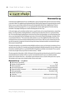## a case study

## **Riverwest Co-op**

In the Riverwest neighborhood of inner-city Milwaukee, a group of people held a general community meeting in the fall of 1998. The neighborhood had gradually been deteriorating. Organizers proposed starting a natural foods co-op as a way to help revitalize the area and to bring healthy food to their neighborhood. Those in attendance voiced strong support for a co-op. Inspired by this interest, eight organizers formed a steering committee. They began meeting once a week to develop plans for the co-op.

In the early stages, each committee member took on a specific task, such as researching locations, researching bylaws, recruiting members, finding distributors, and learning more about the role of a co-op board of directors. The committee began holding festive community fund-raisers during holidays. As word spread about the new co-op, interest grew. But the challenges were many. In the words of Sarah Ditzenberger, a member of the co-op's board of directors, "This community really wanted a co-op in the neighborhood. But it took a strong commitment from everyone to build something without a lot of money." After two years of planning, the store was still not opened, so organizers formed a buying club to keep interested members connected and to give them access to natural foods.

The total cost to get the co-op started was about \$67,000, and due to some very fortunate circumstances, the coop had to raise very little of it. A member purchased the building for \$50,000 and paid for the rent, utilities, and renovations needed to get the co-op started (\$15,000). All appliances and labor were donated. The co-op had to raise only enough money to purchase its initial inventory—\$2,000.

The store opened on November 3, 2001. At that point, the buying club was discontinued, and all of its members automatically became members of the co-op store. Currently, Riverwest Co-op is run solely by memberworkers who volunteer their time—all members work at least four hours a month. At this point, the co-op has 150 members and is open only a limited number of hours each week.

#### *Riverwest Co-op* — at a glance

| Required member investment  \$100 share, with option to pay in monthly installments |
|-------------------------------------------------------------------------------------|
|                                                                                     |
|                                                                                     |
|                                                                                     |
|                                                                                     |
| Information compiled November 2001                                                  |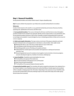## **Step 3. Research Feasibility**

*Survey potential members and conduct market research. Prepare a feasibility study.*

**Goal:** To assess whether the proposed co-op is likely to be successful and beneficial to its members

#### **What to do:**

Conduct initial research on the need for a co-op, potential membership and volume of business, facilities, operating costs, capitalization and sources, and other issues.

**1. Survey potential members.** This survey is the basis for all of your work from here on; be as thorough as possible and take the time needed to do a good job. Identify common needs and the co-op's potential for sales. Survey potential members by phone or face-to-face. If possible, consider hiring professionals to assist with survey design and compilation. A poorly designed survey or misleading presentation of data can be ruinous for a new co-op group.

**2. Collect and compile information.** This step involves a lot of work. If the group is doing the work itself, consider dividing the tasks and assigning them to individuals or subcommittees. Tasks might include:

- $\blacksquare$  Meeting with other co-ops in the area or similar types of co-ops in other areas
- Learning about similar businesses and how they operate
- I Identifying possible sources of funding, such as grants and loans
- $\blacksquare$  Getting help from outside experts and consultants with experience in starting new businesses and new co-ops
- Researching potential sources for assistance: local suppliers, local universities or business programs, economic development agencies, chambers of commerce, related groups

**3. Assess feasibility.** A feasibility study should address four areas:

- $\blacksquare$  The feasibility and capacity of the market area
- $\blacksquare$  The internal readiness of the group to carry out the project
- Basic financial needs and potential
- $\blacksquare$  The feasibility of the proposed design and project specifics

**4. Preparing the feasibility report:** The committee will need to compile the information it has collected. (For a list of areas to address in your feasibility study, see the outline that follows.) Outside experts and consultants will be invaluable in helping prepare this information. Depending on the conclusions of your feasibility study, you may wish to hold another community meeting to report on the results of the study and to make a group decision about how to proceed.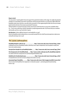#### **Keep in mind:**

You may want or need to gather financial support from potential members at this stage. You might ask potential members to invest \$100 to show their commitment, with the promise that the co-op will return \$80 to \$90 if the feasibility study shows that the co-op will not be successful or if the organizing drive falls short. Be sure to keep good records and return the money as promised if necessary.

Asking members to commit to buying a certain amount per month from the co-op can be a valuable indicator—much more useful than industry standards in projecting potential sales. You'll know that your members will actually use the co-op if and when it opens.

#### **Key Decision:***Is there sufficient interest in and market for a co-op?*

Does the feasibility study indicate that a co-op could succeed? Do the initial financial projections make sense and justify starting a new co-op?

## for more information

*Feasibility Study for a New Co-op ............................ http://www.wisc.edu/uwcc/manual/chap\_5.html* A detailed overview of feasibility studies, what they cover, major components, how to prepare a study, and how to do market analysis.

*Excerpts from Sample Co-op Feasibility Studies ......... http://www.wisc.edu/uwcc.manual/app\_f.html*

*Five Components of a Feasibility Study ...... http://www.rurdev.usda/gov/pa/BI\_feasibility.study.htm* An outline of the five components of a well-developed feasibility study.

*Guidelines for Conducting Surveys ............................ http://www.wisc.edu/uwcc/manual/app\_e.html* A comprehensive overview on how to design and conduct a survey.

*Assessing Project Feasibility ............. http://www.wisc.edu/uwcc/info/coopgro/pre2001/assess.html* How to assess the feasibility of an expansion or relocation project—primarily geared toward existing food co-ops.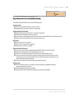

## **Key Elements of a Feasibility Study**

A feasibility study will need to cover all of the following areas:

#### **Common needs**

- What are the potential members' common needs?
- What products and services will the co-op provide?

#### **Market potential and strategy**

- What market capacity exists in the co-op's area of operation?
- What kind of competition will the co-op face?
- How will the co-op distinguish itself in the market? How will it be different from competitor stores?
- What are the financial benefits to the members of the co-op?

#### **Operations**

- How would such a co-op work?
- Who are the co-op's primary suppliers?
- What services will the co-op offer?

#### **Financial needs and sources**

- $\blacksquare$  How much money will be needed to get started? What will this money be used for?
- What are the approximate costs of operating such a co-op?
- Will the co-op's operations justify and cover the costs, including debt service?
- How much money could come from members initially and how much from other sources? In the long run, how much will members have to contribute to the base capital of the co-op and how will the money be collected?
- What are the options and costs for obtaining outside financing?

#### **Startup needs**

- What will it take to get the co-op started, in terms of lead time, availability of facilities, seasonal production cycles, etc.?
- What management skills will be needed?
- What facilities will be needed; what will they cost and are they available?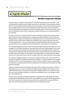## a case study

## **Boulder Cooperative Market**

In Boulder, Colorado, a vegetarian natural foods store called the Crystal Market closed on November 1, 1999. The closing left the community without a locally owned source for natural foods. Concerned patrons decided to form a co-op, the Boulder Cooperative Market, to take over operations in the same location. But the property owner wanted a new tenant in just a month, and that wasn't enough time for the co-op to recruit members, raise money, obtain financing, and take over the facility. Though the organizers lost the chance to take over that store, they collected the names of about 1,000 people interested in forming a co-op. A core group decided to pursue the idea.

During the next two years, a steering committee focused on developing a feasibility study, building membership, writing a business plan, finding a location, and raising money. After making offers on three locations of 5,000 square feet or smaller, the committee found a 12,000-square-foot site in their preferred area for less than half the rent of many other locations. While the site needed lots of work, the group had many enthusiastic volunteers ready to pitch in. The co-op's market research indicated that offering a wide selection of products would make the store more competitive and would help get greater volume discounts from distributors.

The initial organizing group was made up of around 40 people. Organizers borrowed office space and set up a campaign to recruit members by telephone. They called residents who had indicated support for the co-op at various community events, and they purchased the local Green Party's list of registered voters. In total, they contacted around 3,000 people. More than 400 became members. They followed up this work with newspaper and radio publicity and a website. Two local papers each donated \$10,000 in advertising space, and natural foods stores put up the group's posters. Over the next eight months, the co-op's membership increased to 800.

One of the group's biggest challenges was to maintain the support of members and to sustain enthusiasm for the project throughout the long process of organizing. Steve Phillips, a co-op board member and its managing coordinator, noted: "First, you need to keep up your communications to members. Second, you keep finding new people who want to help. Some of those who dropped out since the beginning will come back when things get closer to being real."

Phillips also noted the importance of doing thorough research before making too many decisions: "When you begin organizing a co-op, do extensive research on membership structure, bylaws, how to build community support, financing options, and an assessment of the project's feasibility. Get the word out about the co-op in every way as soon as possible. Attending co-op conferences and talking with other co-op managers has also been very beneficial for me."

A market analysis commissioned by BCM concluded that it would need at least 1,000 members who would purchase approximately \$100 per month from the co-op. In addition, the co-op planned to get 30 percent of its sales from non-members. The market study projected that the co-op could break even at sales of \$200 per square foot and that it had the potential to achieve sales of close to \$400 per square foot.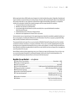Before opening its doors, BCM made some changes to its initial membership system. Originally, it had planned to give members a 5 percent discount on all purchases. However, after researching this idea in more detail and discussing it with other co-ops, organizers realized that it might not be feasible, especially in a competitive market such as Boulder. Instead, they created a program with five major benefits for members:

- 1. A 5 percent discount one day each month
- 2. Member-only specials on selected items
- 3. Annual patronage refunds based on profits earned by the co-op and distributed to members after the end of the year
- 4. Substantial discounts on full case or bag purchases
- 5. Reduced or free registration for classes and co-op events

Communication was an important part in the organizing process. Quarterly newsletters updated members on the co-op's progress. A website also offered news and information. Once the co-op opens, projected for May 2002, monthly newsletters will be sent to all members.

The projected total cost to open the co-op now stands at \$700,000. Potential funding will come from member investments and loans, donations, a city grant, and lenders. The co-op is currently negotiating financing with the Northcountry Cooperative Development Fund, as well as with suppliers. A number of food manufacturers have offered to contribute enough product to stock the co-op's shelves one time, as long as the co-op agrees to carry the products for one year.

Steve Phillips's advice to those organizing a new co-op: "Keep your ego out of the process. Focus on the co-op as a community project. Be patient in working with people. Look to your heart for spiritual guidance. You cannot forget the business side, but there is a lot more to this than business."

### *Boulder Co-op Market*— at a glance

| \$42,000/week after one year       |
|------------------------------------|
|                                    |
|                                    |
| Information compiled November 2001 |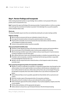## **Step 4. Review Findings and Incorporate**

*Hold a meeting of potential members to report findings. Vote on whether or not to proceed. If the vote is positive, vote to incorporate the co-op.*

**Goal:** To present the report and findings of the steering committee. To decide whether or not the co-op makes sense and to gain the commitment of members to proceed. To formally begin the co-op and to accept the articles and bylaws (basic rules).

#### **What to do:**

This step will probably require more than one membership meeting. Be sure to plan meetings carefully.

#### **Publicize meetings**

- Mail out notices to everyone who has ever indicated an interest in the co-op.
- $\blacksquare$  Encourage all interested members to bring other potential members to the meeting.
- Prepare posters and public service announcements (for local radio stations, television stations, and newspapers) to publicize the meeting.
- $\blacksquare$  Contact as many potential members by phone as possible.

#### **When presenting the feasibility study**

- **Distribute a written agenda and copies of the steering committee's summary and recommendations.**
- $\blacksquare$  Have several copies of the full feasibility study or business plan available at the meeting.
- After the steering committee's report, allow members to discuss it point by point. It may be necessary to hold two meetings to cover the entire report.
- After sufficient discussion, hold a vote of all potential members on whether to proceed with the co-op.
- $\blacksquare$  If members vote to incorporate, a resolution should state that the steering committee is responsible for preparing legal documents for the co-op.
- Members may also request that further research be done, or that changes be made to the steering committee report.

#### **When preparing and approving articles of incorporation and bylaws**

- Whether or not the co-op decides to incorporate, it is important to prepare basic rules that spell out who will be members, how much capital members must contribute, what the decision-making body is and how it will be selected, how decisions will be made, and how these rules can be changed. If the group has decided to incorporate, these rules will be included in the co-op's articles of incorporation and bylaws.
- Seek professional help as much as possible, especially from those familiar with co-op structure and systems.
- Send each member copies of the proposed articles of incorporation and bylaws.
- Allow plenty of time for members to discuss and understand the articles and bylaws.
- Hold a meeting for approval of the articles and bylaws. They must be accepted by a majority vote of the co-op's members.
- $\blacksquare$  File the articles and bylaws with the appropriate state agency.
- $\blacksquare$  Hold an election to choose the co-op's first board of directors. Plan the first board meeting.

## How to Start a Food Co-op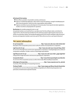#### **At the board's first meeting**

- Elect officers: president, vice president, secretary, and treasurer.
- Approve a membership application, select a bank or financial institution, arrange for bookkeeping and other financial operations, clarify how other responsibilities will be fulfilled.
- Organize committees to pursue development of a business plan, financing and real estate negotiations, member recruitment, and preparation for operations.

#### **Key Decision:** *Are members prepared to start a co-op?*

Are potential members convinced that the co-op makes sense? Are they willing to make a commitment to support it? If so, does the steering committee have the authority to prepare organizing documents (such as articles of incorporation, bylaws, and membership agreements)? Do the articles and bylaws reflect the kind of business and cooperative members want to be a part of? Who will serve as the co-op's board of directors?

### for more information

*Co-op Incorporation ......................................................... http://www.wisc.edu/uwcc.info/articles.html* Description of the incorporation process and an outline for articles of incorporation for a cooperative.

*Legal Issues for Co-ops .............................................. http://www.wisc.edu/uwcc/manual/chap\_8.html* An overview of the legal issues and structures appropriate to cooperatives, including background on articles of incorporation and bylaws. Includes a section on board legal responsibilities.

*Legal Resources for Co-ops .................................... http://www.wisc.edu/uwcc/info/i\_pages.legal.html* Listing of links to legal information and resources specifically for cooperatives.

*Incorporation Basics ...................................................... http://www.theincorporatingsite.com.links.htm* An overview of the incorporation process as well as links to state offices handling incorporation.

*Advantages of Incorporating...................................................... http://www.corporate.com/inc\_adv.cfm* A summary of the advantages of incorporating a business.

*The Board Toolkit ................................................... http://www.mapnp.org/library/boards/boards.htm* A comprehensive overview of board responsibilities and guidelines for effective board operations (not particularly oriented toward cooperative boards).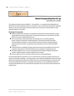

## **About Incorporating Your Co-op**

*Some factors to consider*

To incorporate a business means to establish it—the corporation—as a separate entity, independent and distinct from any of the individuals involved. In some states, co-ops can incorporate under specific cooperative statutes. Co-ops can also incorporate under other statutes (such as for-profit or nonprofit codes) or under cooperative statutes in other states.

#### **Advantages of incorporation**

- Liability is limited. When a business is incorporated, the individuals involved are generally no longer directly liable for the actions of the business. This generally means that a co-op's members will not be liable for any actions or debts held by the co-op.
- The co-op's structure is clearly documented. To incorporate, your co-op will be required to prepare articles of incorporation and, generally, bylaws. These documents spell out the rights and responsibilities of members, as well as specific procedures for decision making. Having clear, written procedures will make co-op operations easier, especially if you have to deal with problem situations.
- A board of directors is established. All states require that someone be accountable for the actions of a corporation. That someone is the board of directors. Every corporation is required to have one.
- Increased credibility for your co-op. An incorporated business has better credibility with potential members, suppliers, bankers, and other outside business associates.
- Access to capital. Very few, if any, lenders will loan money to unincorporated groups.

The main disadvantage of incorporation is cost. You will need to hire an attorney to prepare and review your articles of incorporation and bylaws—don't take another co-op's materials and adopt them without a thorough legal review. Incorporation also takes time and effort. But if you're serious about starting a co-op, the time and money spent will be good investments. Incorporation will increase your co-op's credibility and clarify how your group will make decisions. If you proceed with incorporation, be sure to consult an attorney familiar with cooperative law.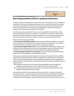

## **Basic Responsibilies of the Co-op Board of Directors**

The board of directors is responsible for the co-op's actions and for ensuring that the business is managed in a sound fashion. The board is an elected body that oversees the co-op on behalf of the owners (the members). The board's authority extends only to decisions made by the board as a whole; individual board members have no authority outside of a board meeting, except as delegated by the whole board. Generally, only members in good standing may serve as directors of a cooperative.

Every state incorporation statute defines the basic roles and responsibilities of a board of directors. Most commonly, statutes state that a director is required to act "in good faith, in a manner he (or she) reasonably believes to be in the best interests of the corporation, and with such care as an ordinarily prudent person in a like position would use under similar circumstances." All directors are required to meet this standard.

#### Directors have three primary responsibilities:

**1. Act as trustees on behalf of the members.** Directors do this by carefully monitoring the co-op's financial status, hiring auditors to review financial records, regularly reporting on the status of the co-op to members, and making sure that the co-op follows its bylaws, policies, and appropriate regulations.

**2. Ensure sound management of the co-op.** Directors are responsible for hiring and supervising the co-op's management. Supervising management involves reviewing management reports, monitoring key indicators (inventory turnover, sales trends, other financial ratios), and evaluating management performance.

**3. Set long-range goals and plan for the co-op's future.** Directors do this by discussing strategic planning, approving yearly and long-range plans, and setting performance goals.

The board is accountable to the members. Management is hired by and is accountable to the board. Effective boards fulfill their responsibilities and avoid micro-management by focusing their discussions and decision making on two things: clearly defining the results to be achieved by management or others responsible for a project; setting limits to guide performance, including details about what is considered acceptable. Examples of effective directives:

- "Management shall present an annual capital and operating budget to the board, complete with assumptions and support material, in time for approval before the new fiscal year begins."
- "The Membership Committee shall research options for new member benefits and present a recom mendation to the board at its November meeting."

Most boards meet monthly or at other regular intervals. Boards elect officers—president, vice president, secretary, and treasurer—to organize and coordinate their work. Effective boards get regular training to make sure that directors understand and can fulfill their responsibilities. Boards that stay focused on providing overall direction and monitoring the co-op's general performance play a key role in the success of every co-op.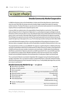## a case study

## **Oneida Community Market Cooperative**

In 1998 the only grocery store on the Oneida Nation, 10 miles west of Green Bay, Wisconsin, closed its doors when the owner died. After the closing, community members began to explore their options for opening another local store. The idea of forming a co-op came out of a community needs assessment. An overwhelming majority of those surveyed favored a cooperative grocery store.

In January 2000, two residents took on the responsibility of researching the co-op structure. They ordered books and tapes from the U.S. Department of Agriculture's co-op development program and began to educate themselves and the community about co-ops. They obtained copies of two market studies done for the area by grocery chains, most recently in November 2000. During the months that followed, the organizers presented their findings at every general community meeting. These reports generated community interest, and soon 50 people had signed up to help organize the co-op. The first steering committee meeting was held in March 2000.

Local media followed the progress of the co-op and provided plenty of free publicity for the group. A local television station, newspapers, tribal radio, and the Oneida Nation newsletter all featured stories on the co-op.

The projected total cost of the co-op was \$800,000. The organizers sought funding from a USDA Rural Development grant, Oneida Nation tribal funds, the Administration for Native Americans (an agency of the Department of Health and Human Services), member investments, and a local lender. A 10,000-square-foot building was identified as a potential site. Organizers planned to use 8,000 square feet for the co-op and 2,000 square feet for a small business incubator project. Members decided to create a full-service grocery store, named the Oneida Community Market Cooperative, that would specialize in locally grown organic and natural foods.

The co-op's board of directors was elected in September 2001. Using grant money, the board hired a general manager in December. The co-op expects to employ 11 people. Bill VerVoort, a cofounder and board member, offered the following advice to those interested in starting a co-op: "It will probably take longer than you think, but in time it is well worth it."

### *Oneida Community Market Co-op* — at a glance

| \$37,000/week after one year       |
|------------------------------------|
|                                    |
|                                    |
| Information compiled November 2001 |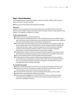### **Step 5. Recruit Members**

*Hold meetings and prepare materials describing the co-op for new members. Establish member investment options and conduct a member equity drive.*

**Goal:** To secure the written and financial commitments of members

#### **What to do:**

Set goals for how many members, how much equity, and how much in member loans the co-op needs to obtain by a certain deadline. Create an action plan to achieve those goals. Consider creating visual aids to show progress—in a newsletter, at an office, or on a website.

#### **For the membership system**

- Research consumer co-op membership structures.
- Create a proposal covering all aspects of the co-op's membership system. Be sure to address member equity requirements, types of memberships, minimum payment to join and payment options, additional fees, share repurchase (refund) options and limitations, member benefits.
- Once the board (or steering committee) has approved a membership structure, prepare a simple, clear brochure explaining the co-op's membership system. Consider setting up a website or web page with membership information. Prepare a membership application and other administrative materials. If possible, have these materials reviewed by an expert or an attorney to make sure that proper representations are made and that terminology is used accurately and legally.
- **E** Establish goals for member recruitment and investment. Develop a method to track progress on those goals. Report back to the board on progress and share successes with co-op members and volunteers.
- Set up record-keeping systems to track memberships and member benefits.
- $\blacksquare$  Develop a plan for member recruitment. Identify events and opportunities where you can get the word out about the co-op; mail brochures and information to those who have indicated an interest in the co-op; use networks of existing co-op members and supporters; send information to the local newspaper, radio stations, and other media outlets.

#### **For a member loan program**

- Research member loan programs used by other co-ops and get sample materials from those co-ops.
- Determine how much the co-op will need in member loans. Based on that information, set limits such as the minimum size or term of the loans. Set interest rates for loans.
- Create materials for member loans: a brochure or background information; a promissory note
- $\blacksquare$  Publicize the co-op's member loan program among members.
- Have an attorney knowledgeable in co-op and securities law review your member loan program and materials. State laws differ, and you need to make sure that your program is legal and won't cause the co-op problems in the future.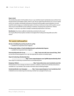#### **Keep in mind:**

The membership system is the foundation of your co-op. Carefully research membership issues and learn from the best practices and mistakes of other, similar co-ops. Set up a system that will work for your co-op as a whole and for your members individually. By doing your homework and thoroughly researching options, you will avoid the need to change your membership system in the future. And be sure to learn which words to use and which ones to avoid. Members join by making an investment, not paying a fee; avoid the term "lifetime members," in case the co-op needs to change its membership requirements in the future.

#### **Key Decision:** *Do we have a sufficient membership commitment to the co-op?*

Can we get sufficient financing from members to leverage further funding and to keep debt costs within reason?

### for more information

#### *We Own It: Building Financial Security the Co-op Way*

— available from *Cooperative Grocer* magazine

#### *The Ownership Toolbox: A Tool for Building Strong Co-op Membership Programs*

— available from *Cooperative Grocer* magazine

*Financing Information for Co-ops .............................. http://www.wisc.edu/uwcc.manual/chap\_7.html* An overview of financing options for co-ops. See especially the sections on member equity.

#### *Steps for Conducting a Membership Drive*

*............................................ http://www.cooperativegrocer.com/cg1996.stepsmembership.shtml* Seven steps for conducting a successful food co-op membership drive.

*Designing a Website .............................................. http://www.mbrservices.com/commtools.comm.htm* Practical advice on how to design and what to include on a website, as well as how to develop and produce a newsletter for co-op members. Also includes information about marketing strategies.

*Conducting Member Loan Campaigns .............. http://www.cooperativegrocer/com/memberloan.html* A detailed overview of planning and conducting a member loan campaign for food co-ops.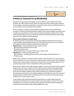

## **A Primer on Consumer Co-op Membership**

All businesses need equity (also called capital); a co-op is no different. This base capital is the financial foundation upon which a business is built. It allows the company to purchase inventory, acquire equipment, finance operations, and minimize outside debt. In any business, the base capital is provided by the owners. In a co-op, members are the source of this financial foundation.

Co-ops use member investments to purchase equipment, expand inventory, make improvements and renovations to facilities, pay off debt, pay deposits to suppliers, reduce accounts payable or pay suppliers early to get discounts, and research new services or business opportunities. Member equity gives the co-op base capital. On this foundation, the co-op can then finance its asset base. Member equity also provides a leveraging base for financing additional capital, called debt.

#### **Types of capital and features of member equity**

For all businesses, there are two basic types of capital: equity (capital provided by the business and/or its owners) and debt (capital provided by outside sources). Let's look at the most common sources of capital for retail cooperatives (see also "Methods of Capitalization for Cooperatives"):

- **Equity financing**—capital provided by the business and/or its owners
	- Net operating surplus (also known as profit)
	- **Membership dues or fees**
	- Membership shares or investments (also known as member equity)

**Debt financing**—capital provided by outside sources

- Outside loans—including capital leases, lines of credit, mortgages, and other debt financing
- Member loans

Member shares, or equity, are investments made by members as the owners of the co-op. These shares form the base capital of the co-op. As such, these shares are also the capital invested at most risk. When established properly, member shares will not be a taxable source of funds for the co-op and will help establish a sense of ownership among members. Shares are refundable to members upon termination.

Without member capital (or with insufficient member capital), a co-op is forced to seek all of its financing from outside sources, such as banks, suppliers, and other creditors. Such financing has disadvantages. Supplier credit is limited and can lead to increased prices on goods. Bank financing is expensive and almost always comes with some restrictions. Bankers are also reluctant to lend money to co-ops that have inadequate financing by their member/owners. Loans might be available, but only at high interest rates. If the co-op has an adequate capital base, bankers will be more willing to make loans at reasonable cost and without imposing constraints on the co-op's operations or goals.

Co-op members provide capital by purchasing shares (just like stock in a publicly traded corporation). Typically, the board of directors sets a required number of shares that members must purchase. The money invested this way is used to finance inventory, purchase equipment, make improvements, etc. Making this investment gives each member the rights and responsibilities of an owner.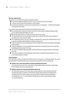#### **Goals and requirements**

The goal of a co-op membership program should be threefold:

- To provide an adequate capital base for the co-op's current and future financial needs
- $\blacksquare$  To create a sense of ownership among the co-op's members
- $\blacksquare$  To clarify and solidify the co-op's structure and operations as a cooperative —consistent with state law and cooperative principles

A successful member capital system should meet the following requirements:

- Costs and benefits to individual members and to the co-op as a whole are balanced between both parties and financially advantageous for each.
- Membership administration is simple, and records are easy to maintain.
- $\blacksquare$  The required member investment is great enough, when combined with other sources of equity, to provide for the co-op's financial viability.
- The membership system is not overly complex or sophisticated; it can be easily understood by new and prospective members without lengthy or exhaustive explanations.
- Any fees required for special administrative functions (replacing lost cards, terminating a membership) will be nominal.
- $\blacksquare$  The plan is designed to ensure exemption from securities laws and taxation (be sure to consult with a knowledgeable attorney about this issue).
- $\blacksquare$  The system is fundamentally an equitable one that reinforces the concept of members' ownership of the co-op.
- $\blacksquare$  The system is designed to accommodate the variety of basic circumstances presented by the co-op's current and prospective members.

#### **Financial targets**

Ensuring that the co-op has an adequate capital base is key to its long-term survival, especially for the co-op to grow and expand. The following two ratios can provide some guidelines for financial planning.

**Member-share ratio: total member investment divided by total assets**

This ratio shows how much of a co-op's assets are financed by member investments. A benchmark for the member-share ratio is 20 to 30 percent.

#### **Member-equity ratio: total equity divided by total assets**

This ratio shows how much of a co-op's assets are financed by the co-op's total equity (retained earnings and member investments). A benchmark member-equity ratio for an existing business is 40 to 60 percent. For startups, experts recommend that 30 to 50 percent of the asset base be provided by the co-op—i.e., from members through equity or loans or from donations, grants, or in-kind contributions.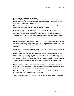#### **Overall guidelines for a member equity system**

 Shares must be clearly defined as the property of the members. If the co-op allows more than one individual per membership, their shares must be clearly defined as joint (non-dividable) property. The co-op should avoid becoming an arbiter in property disputes.

■ The co-op must issue evidence of a member's investment and holding in the co-op. Generally, membership cards are sufficient. Some states require co-ops to issue member certificates.

■ The co-op should set one reasonable investment requirement for all members—not different levels of investment for individuals, households, seniors, low-income members, etc. Membership requirements and benefits should not be changed often, as members find such change very unsettling. Avoid referring to "lifetime memberships," since the co-op might sometime need to change its required member investment. Be realistic about the co-op's future capital needs. Set the share requirement to meet the co-op's needs for at least 10 years.

■ Create several simple payment options for members. Don't require full payment upon joining, unless you have no other way to finance a startup. Consider charging an annual processing fee (\$3–\$5) for members who make payments over time. The fee will cover administrative costs and will encourage members to pay in full upon joining.

 It's reasonable to assess fees for keeping track of memberships. Options include an application fee or a fee for processing a request for termination of membership.

 Member shares should be fully redeemable (refundable) upon termination of membership (the co-op will repurchase a member's shares). However, repurchase of shares should be contingent upon replacement capital. For example, the co-op might total new share investment each month and process repurchase requests up to that amount. This system will help the co-op avoid heavy seasonal outflows of capital. For a startup, it's common to state that the co-op will be unable to repurchase shares until at least two years after operations begin.

 Member shares represent an investment in the co-op, like stock in a corporation. However, when established correctly, member shares are not subject to securities regulations. Make sure that a lawyer familiar with co-op securities law reviews your bylaws and membership documents.

 Keep the membership system simple, so members will be able to understand it and staff will be able to accurately explain it. Keep administrative systems simple as well.

 $\blacksquare$  A new member should be eligible for all member benefits (including voting) as soon as the membership application has been processed and approved.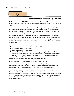

### **A Recommended Membership Structure**

**Member share requirement: \$200.** This share shall be a refundable investment. The required share investment will be the same for individual and household members. The \$200 investment will be made up of ten \$20 shares.

**Joining:** To join the co-op, members will be required to complete an application and pay at least \$25. Of the initial payment, \$20 will be applied to the member's \$200 share investment, and \$5 will be a processing fee. Members who make the full \$200 investment at the time of joining will not pay a processing fee. Maintaining active membership status will require no additional fees.

**Legal status:** The co-op's bylaws, membership application, brochures, and other materials should clearly define memberships as property. Up to two adults may be named on a membership, and they shall hold that membership as "joint tenants"—that is, the membership shall be non-dividable property. Membership cards will be issued to all members as evidence of their investment in the co-op—one card for each adult named on the membership.

**Payment options:** There will be four payment options:

- $\blacksquare$  Purchase the full share requirement up front (at the time of joining)
- Purchase at least one share (\$20) per month
- Purchase at least one share (\$20) per quarter
- Purchase at least one share (\$20) per year (the low-income payment option). This option will not be specifically described in membership materials, except for a note that "a low-income payment option is available by request." There will be no eligibility screening for the low-income option; anyone who requests this option will be allowed to take it.

Members may make investments ahead of schedule, at any time with no penalty.

**Eligibility:** Individuals and organizations will both be eligible to be co-op members.

**Fees:** There shall be no fee for making an address or name change (adding or deleting a name from a membership within the limits of securities regulations). A \$5 fee will be charged for replacing a membership card, requesting repurchase of shares upon termination of membership, or reactivating a membership.

**Repurchase:** Members' shares will be repurchased only when the co-op has received replacement capital. The co-op will total all repurchase requests at the end of each month and compare that figure to total new investments for the month. If new investments equal or exceed the repurchase total, the co-op will send checks to the terminating members. If not, the co-op will process repurchase requests in the order received, up to the total of equity received. In addition, there will be no repurchase of shares until the co-op has completed one full year of store operations.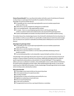**Primary financial benefit:** The co-op will provide members with either a point-of-sale discount of 2 percent on all purchases or a patronage refund issued after the completion of the fiscal year.

Advantages of a 2 percent member discount

- It is equitable, per the co-op principle requiring benefits to accrue to members proportionate to their use of the co-op.
- $\blacksquare$  It allows the co-op to be competitive by setting prices at market levels.
- $\blacksquare$  It is an immediate benefit-often appreciated by members.
- $\blacksquare$  It is simple—there is no record-keeping required as there is with the patronage refund, and the co-op doesn't need to meet complex tax laws, also required with the patronage refund.
- $\blacksquare$  It will be understandable to all members and will provide them with immediate rewards for joining.

The member discount has a disadvantage, however. Since the benefit is distributed at the time of purchase, it is given whether or not the co-op can afford it. Co-ops that offer a member discount need to have astute management. Any discount over 2 percent is inadvisable and will likely lead to inflated prices to cover the cost of the discount.

#### **Advantages of a patronage refund**

- $\blacksquare$  It is equitable, per the co-op principle requiring benefits to accrue to members proportionate to their use of the co-op.
- $\blacksquare$  It allows the co-op to be competitive in the market.
- $\blacksquare$  It allows the co-op to know whether or not it has made a profit before distributing a financial benefit to members.
- $\blacksquare$  It can be distributed partially in cash and partially in equity, limiting the cash drain on the co-op.

A disadvantage is that a patronage refund system requires the co-op to accurately track total purchases by all members or requires members to track their own purchases. Additionally, patronage refunds are subject to specific requirements and procedures as documented in U.S. tax law (Subchapter T). These regulations address such issues as notification to members, what is distributable income or profit, methods of distribution, the need for backup withholding, and other matters. When distributing patronage refunds, co-ops may also need to issue form 1099-PATR to all members. A further disadvantage is that patronage refunds can be complex and are not always easily understood by members.

#### **Other typical benefits**

- $\blacksquare$  The privilege to write checks for \$50 over the amount of purchase
- A 10 to 15 percent discount on special case orders
- A monthly newsletter
- $\blacksquare$  Reduced fees on classes and workshops sponsored by the co-op
- Eligibility for membership at a local credit union
- Discounts at participating stores
- A vote in all co-op elections
- $\blacksquare$  The opportunity to serve on the co-op's board of directors or committees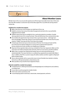

### **About Member Loans**

Member loans to the co-op can provide a good source of financing at reasonable interest rates. At the same time, they offer members a constructive way to financially support the co-op while also earning a decent interest rate.

#### **Guidelines for a member loan program**

- Make it clear that only current members can make loans to the co-op.
- $\blacksquare$  Establish a minimum loan amount that makes the paperwork and cost to the co-op worthwhile. Suggested minimum: \$5,000.
- Establish interest rates that are workable for the co-op but also attractive to members. Consider rates equivalent to term CD or mutual fund rates. These will still be lower than commercial loan rates.
- Give members the opportunity to loan money to the co-op at various terms—with longer-term loans earning higher interest rates. Startup co-ops should avoid member loans of less than five years, except as "bridge" financing until other financing can be arranged.
- $\blacksquare$  It's best to pay interest each year on the anniversary of the loan. Do not repay principal until the term of the loan has expired. Initially, the co-op may wish to suspend interest payments (to have interest accrue only) until after one complete year of operation.
- Keep track of loan expiration dates and set up a schedule for future loan repayments. Make sure that many loans won't all be coming due at the same time, which can cause serious cash-flow problems.
- $\blacksquare$  Make it clear in member loan materials that member loans are unsecured and that they are subordinated debt. This means that there is no collateral (e.g. equipment) securing the debt. Make it clear, in addition, that if the co-op has to repay all creditors, bankers and other suppliers will get paid before member lenders.
- $\blacksquare$  Have an attorney familiar with co-op securities issues review all member loan materials, including the brochure, offering memorandum, and promissory note.
- When possible, set up a fund for future repayment of loans.

#### **Materials needed for a member loan program**

- A simple brochure or offering memorandum providing background, including terms and conditions, on member loans
- A cover letter to send to prospective member lenders
- A form to be used as a promissory note
- A record-keeping system to track loans, interest rates, interest payments, and terms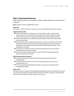### **Step 6. Planning and Financing**

*Prepare a detailed business plan and research financing options. Identify possible locations and negotiate lease arrangements.*

**Goal:** To prepare a specific and detailed business plan

#### **What to do:**

At this stage, it is vital for your group to invest time and money in a detailed and thorough business plan.

#### **Preparing a business plan**

- A business plan should cover all aspects of the co-op's operations: who is involved, who the customers are, what the co-op will sell, how it will operate, how it will be capitalized, and what the costs of operation will be. The plan should include a market study that justifies projections.
- A business plan needs to be very detailed and specific about every facet of the co-op's potential business and operations.
- Preparing a business plan is a good exercise for anyone involved in a new business, even if things don't work out exactly as planned. The discipline of documenting your ideas and assumptions, projecting financial and operational figures, and pulling all of these elements together into one complete plan is invaluable.
- The assistance of consultants and resource people with experience in business startups and preparing business plans will be essential.
- Economic development programs and grants can be useful both for startup funding and for help with developing a business plan.

#### **When the business plan is prepared**

- The steering committee or board of directors should prepare a report that summarizes the business plan.
- Conclude the report with the board or committee's recommendation to proceed or not to proceed with the co-op.
- The report should be made available to all members, and a summary should be presented at a membership meeting.

#### **Keep in mind:**

Deli, bakery, and juice bar operations are highly appealing and generally viewed as desirable features of a new co-op. However, food production requires specialized equipment, facilities, and expertise. Consider leasing these facilities to other operators, at least initially, in your new co-op.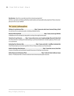**Key Decision:** *Does the co-op make sense from a business perspective?* Are the co-op's plans and ideas justified by market studies and reasonable sales projections? Does a business plan prove the co-op's viability?

### for more information

*Writing a Co-op Business Plan ................................... http://www.wisc.edu/uwcc/manual/chap\_6.html* An overview of a co-op business plan, including a detailed outline.

*Business Planning Guide .......................................................................... http://www.ctcnet.org/ch9.htm* A detailed overview and step-by-step guide to writing a thorough business plan.

*Tutorial on Co-op Finances .......... http://www.mbrservices.com/coopknowledge/financial/index.html* An online tutorial on reading and understanding co-op financial statements. Includes a glossary of terms used in co-op finances.

*Evaluating Your Business Idea ...................................... http://www.umsl.edu/~smallbus/evaluate.htm* A tool that prompts you to answer questions that can help you analyze your business plan.

*Guide to Starting a New Business ......................................................... http://www.bec.com.au/start.htm* A series of checklists and worksheets to guide the process of starting a new business.

*Online Resources for Business Plans .............................................. http://web.mit/edu/entforum/www* Click on "The Business Plan" to find an extensive list of online business plan resources.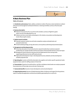

# **A Basic Business Plan**

#### *Table of Contents*

**1. Introduction and summary:** Name, address, and phone number of business; names (and phone numbers) of key personnel (management and board of directors or steering committee); summary of business plan findings

#### **2. Business description**

- $\blacksquare$  Statement of purpose for the co-op; who are the members; summary of legal form; goods and/or services to be offered by the co-op
- $\blacksquare$  Industry overview; current status and prospects in the industry; new products and developments; trends influencing the industry

#### **3. Market research and plan**

- Potential customers; market size and trends; competition analysis; estimated sales and projected market share
- Overall marketing strategy; pricing; sales tactics; service policies; advertising and promotional plans

#### **4. Management and development plan**

- Ownership: description of ownership structure; required membership investment; projected membership size; member benefits and financial analysis of those benefits that have a financial impact
- Management: board of directors; key personnel and organizational chart; training needs; supporting professional services; staff needs and costs
- Organizational development: steps in developing the business; obstacles and risks; development schedule; projected costs

**5. Operating plan:** Location and facilities description; key suppliers and vendors; specific operational needs; equipment; basic system for staffing; analysis of critical risks

**6. Financial plan:** Projections for profit and loss, cash flow, and balance sheet; break-even analysis; proposed financing (sources of financing); sources and uses of startup costs

**7. Community benefits:** Economic; human development; community development

**8. Supporting documents:** Resumes of leadership group; letters of reference and support from key partners; copies of membership applications and brochures; publicity generated by the co-op thus far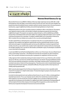# a case study

### **Monroe Street Grocery Co-op**

Monroe Street Grocery Co-op (MSGC) in Madison, Wisconsin, began organizing in January 2001 after a neighborhood grocery store, Ken Kopp's, announced its closing. The store was up for sale, and a chain drugstore was poised to purchase the building. However, residents wanted to maintain a grocery store in the area to preserve local business, support neighborhood vitality, and avoid driving long distances to shop for food.

Widespread resistance to the chain caused the company to withdraw its offer in early February. The property owner agreed to accept new offers until mid-March, asking for development proposals that would enjoy neighborhood support. The property was expensive, and purchasing it, as well as establishing a profitable business there, seemed beyond the community's ability. Thus organizers began planning for a new co-op that could lease the property from a developer. To establish credibility, MSGC was incorporated on February 26, 2001. A member drive was initiated, even as plans for the co-op were just being developed.

Founders realized that as a startup business in an expensive store, the co-op would need to be very well capitalized. They needed to raise significant capital quickly and show potential funders that the co-op had solid community support. A membership system was set up, with a \$200 share investment required of each member. Given the co-op's need for funds, members had to make the full investment at the time of joining. By the mid-March deadline, the co-op had over 200 members and \$40,000 in equity. Two developers included the co-op in their bids for the property.

In early April, MSGC learned that the building had been sold to an out-of-town buyer who was willing to lease it to the co-op for \$18 per square foot—50 to 200 percent more than the rent paid by any other local grocery store. The co-op had to reevaluate its business plan in preparation for negotiations with the new owner.

In May organizers held a membership meeting and voted on bylaws for the co-op. At that time, with a membership of over 400, the co-op's first nine-member board of directors was elected. The board established membership, financing, marketing, and operations committees, which began meeting monthly. The board also hired a consultant to provide an initial set of financial projections. These documents, which included detailed expense estimates beyond the board's expertise, indicated the difficulty of the project and the critical importance of reliably projecting expected sales.

MSGC received a planning grant from the Wisconsin Department of Commerce to hire a reputable market research firm to prepare an in-depth market analysis. The board also began to prepare a business plan and to pursue lease negotiations.

Currently, the total projected cost to start up Monroe Street Grocery Co-op is \$1.7 million, including significant leasehold improvements. The co-op is hoping to raise \$1 million from membership investment and loans, which it believes it can do once the site is secured. In addition, the co-op hopes to obtain grant funding, especially from local groups and a foundation for neighborhood vitality. Completing the funding package will be financing from the local utility company to fund energy efficient equipment, as well as loans from the Northcountry Cooperative Development Fund and a local commercial lender.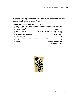MSGC plans to hire over 30 full-time employees, including a general manager, several department heads, and a member service employee. The co-op is expecting to pay 21 percent of its sales in wages. Sales at the end of one year of operation are projected at almost \$5.5 million.

# *Monroe Street Grocery Co-op* — at a glance

| Information compiled November 2001 |
|------------------------------------|

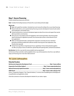### **Step 7. Secure Financing**

*Finalize outside financing sources and terms*

**Goal:** To obtain the funding necessary to finance the co-op's startup and early stages

#### **What to do:**

- Begin with capital from members. Calculate how much money this will give the co-op in base financing.
- Research alternatives, such as special startup financing, economic development money for job creation and revitalization, and member loans.
- Contact local business or economic development agencies about the services and support they may be able to provide to a new business.
- Have just one or two people conduct all negotiations with commercial lenders. Have those people report to the board as negotiations proceed. (Your business plan will be a critical element of your loan application.)
- Make sure that potential lenders understand the cooperative ownership structure. Individual guarantees should be avoided (with sufficient member financing and a clear explanation, they should not be required).
- Vendor financing will be an important part of your capital base. Find out what potential suppliers can offer your group in terms of credit terms, special help with opening orders, and technical assistance.

#### **Key Decision:** *Can the co-op raise the money needed to start up operations?*

Are the terms of loans and other credit acceptable to the co-op, and do projections show the co-op's ability to repay such financing, even in less-than-ideal scenarios?

### for more information

#### **Potential Funders**

| Click on "Cooperative Programs," then "Special Initiatives," to review a list of available grants and background |  |
|------------------------------------------------------------------------------------------------------------------|--|
| on qualifications and application criteria.                                                                      |  |

Check also commerce or business development websites for your state or region.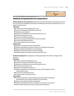

# **Methods of Capitalization for Cooperatives**

**Membership Shares and Investments:** Member shares are money that members invest to become owners of the co-op. Shares are refundable upon termination of membership and are the base capital of the co-op—the capital invested at most risk.

#### **Advantages**

- Increases asset and leveraging base of the co-op
- $\blacksquare$  Has no tax consequences; nontaxable source of funds
- Relatively easy to implement
- $\blacksquare$  Members can withdraw their money when they leave the co-op
- Interest-free money for the co-op
- Shares can be targeted for specific use
- Common co-op practice; will be familiar to some new members
- Can provide sizeable basis of funds
- **Provides members with direct ownership**

#### **Disadvantages**

- Requires some member education and explanation
- Requires careful legal work to make sure shares are not subject to securities laws
- $\blacksquare$  Requires significant administration and record keeping
- Members can lose money if the co-op is poorly managed
- Difficult to predict when members will want to repurchase shares

**Member Buying Deposits:** Buying deposits are made proportionate to the member's average volume of purchases.

#### **Advantages**

- Increases asset and leveraging base of co-op
- Has no tax consequences; nontaxable source of funds
- $\blacksquare$  Members can withdraw their money when they leave the co-op
- Interest-free money for the co-op
- Deposits can be targeted for specific use
- Members capitalize the co-op proportionate to their use (less frequent users don't subsidize frequent users)
- Can provide a sizeable basis of funds
- **Provides members with direct ownership**

#### **Disadvantages**

- Difficult to implement for retailers (although practical and common for distributors and wholesalers); requires regular adjustments and recalculations
- Requires some member education and explanation
- $\blacksquare$  Requires careful legal work to make sure deposits are not subject to securities laws
- When members' purchases increase, their capital requirement goes up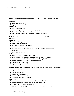**Membership Fees Or Dues:** Nonrefundable fees paid to join the co-op—usually nominal amounts paid yearly (sometimes only once).

#### **Advantages**

- Adds to co-op's sources of cash
- Easy to distinguish members from nonmembers

#### **Disadvantages**

- Taxable income to the co-op
- Non-investment; doesn't provide capital base for leveraging
- Members have no tangible ownership in the co-op
- **Fees can hide operational problems and subsidize unprofitable operations**

**Member Loans:** Fixed amounts of money provided by co-op members only, at set interest rates over a fixed period of time.

#### **Advantages**

- **Loans tend to be long term**
- **Predictable terms and conditions**
- **Money generally targeted for specific uses**
- $\blacksquare$  Funds obtained immediately (all at once)
- Banks tend to classify member loans as equity (not liabilities) since they are subordinated to other debt
- Lower interest than bank debt

#### **Disadvantages**

- $\blacksquare$  Interest makes loans more expensive than shares
- Can compromise the equitable nature of co-ops if too much financing is provided by a small number of members (even though member lenders do not get additional votes)
- Increased administrative requirements (promissory notes, etc.)
- Tend to be smaller than bank loans
- $\blacksquare$  Require careful legal work to conform with securities laws

**Loans from Banks or Financial Institutions:** Typically, a fixed amount of money is loaned at a predetermined

interest rate over a set period of time.

#### **Advantages**

- Loans tend to be long term
- **Pedictable terms and conditions**
- **Funds generally targeted for specific uses**
- Funds obtained immediately (all at once)

#### **Disadvantages**

- Interest makes commercial loans more expensive than shares and member loans
- Members might forfeit some control to the bank or financial institution
- Sometimes lead to additional costs-e.g., a full audit
- Loss of control during financial problems (bank can call the loan if co-op is in default)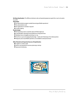**Net Operating Surplus:** The difference between sales and operating expenses equals the co-op's net surplus (or profit).

#### **Advantages**

- No administrative program needed (assuming profitable operations)
- No administrative costs
- No explanation to members required
- Usually ongoing

#### **Disadvantages**

- Net operating surplus is taxed by state and federal agencies
- Unpredictable, especially during inflationary and growth times
- Members have no tangible ownership in co-op
- Puts the co-op at a leveraging disadvantage—banks don't like being in the riskiest position
- Requires years of profitable operations; not available to startup businesses

#### **Other Potential and Important Sources of Capitalization**

- supplier or vendor credit
- $\blacksquare$  grants, most typically for business planning or startup
- **grassroots fundraising**

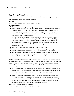### **Step 8. Begin Operations**

*Hire a manager, acquire fixtures and equipment, finalize layout, establish accounts with suppliers, set up the store.*

**Goal:** To prepare for the startup of the co-op's operations

#### **What to do:**

The business plan should be your guide on what to do at this stage.

#### **When hiring a manager**

- $\blacksquare$  Identify the skills you expect your first manager to have.
- Prepare a clear job description. It should establish that the manager reports to the board, the manager's goals and priorities, how his or her performance will be measured, and what compensation will be offered. Set goals and responsibilities for the manager in the first year, including communications with members, researching facilities and equipment, working on marketing or sales efforts, and making arrangements to begin the co-op's operations.
- Advertise the position as widely as possible, including on CGIN's jobs web page: *http://www.cgin.org/ jobsavail.html*. Note that trade magazines often require a lot of advance notice for position listings; local papers and employment offices often list jobs very quickly. Depending on the skills and experience needed, you may consider engaging a search firm. Use as many local contacts as you can think of economic development agencies, chambers of commerce, businesspeople, other co-ops, etc.—to publicize your position.
- Carefully screen all applicants. Check references and job experience in detail.
- Give preference to candidates with experience in retail operations or the grocery industry.
- Remember that the right manager for a startup may not be the right manager in the long term.
- Design an interview process that allows input from all interested parties, but keep interviewers and interviews to a minimum. Focus questions on the skills and experience a candidate has; ask questions about how they have handled situations, not how they would handle a theoretical situation.

#### **Keep in mind:**

This stage can be tricky and somewhat traumatic for a startup co-op. While the board and members have been heavily involved in making operational decisions to this point, once a manager is hired, a new role for the board must be crafted and followed. The board will no longer be involved in operational decisions; its continued involvement in operations will undermine the experience and authority of the manager you hire.

#### **Other preparations**

- Contact other food co-ops in your region to find used or refurbished equipment that might work in your new store. Other co-ops can also give advice about and contact information for vendors and suppliers. Contact equipment suppliers; look for used or refurbished equipment through local auctions and business closures.
- Consult a grocery professional about your store layout and have a professional negotiate your lease.
- Get in touch with suppliers and distributors. Negotiate credit terms, the opening order, and ordering procedures. Many distributors can provide support in product placement and setting inventory. Brokers and manufacturers can also provide assistance—especially specials for opening inventory. Keep in mind that these businesses should not dictate product placement, however.

#### **Key decision:** *Is the co-op ready to begin operations?*

Do we have the expertise, experience, and resources to start operations?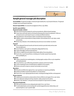

## **Sample general manager job description**

**Accountability:** The general manager is hired and supervised by the co-op's board of directors. The general manager serves at the board's discretion.

**General responsibility:** To oversee the management of the co-op's affairs.

#### **Specific responsibilities:**

#### *Board and member relations*

- Work with the board to prepare for and ensure productive, effective board meetings.
- Present clear and timely reports to the board and proposals for board consideration. Follow up on board concerns and research issues in a timely and effective fashion.
- Keep all directors informed about matters at and between board meetings.
- $\blacksquare$  Establish systems and procedures to keep members informed about the co-op's status, needs, and activities.
- **Monitor key indicators in the membership area and ensure new member recruitment.**

#### *Financial*

- **E** Ensure adequate financial records and internal controls to provide timely and accurate financial statements.
- $\blacksquare$  Ensure that the co-op's assets are adequately safeguarded from loss.
- **Peropare all budgets and financial projections.**
- Perform in-depth financial analysis and promptly address financial problems.
- **Plan for the co-op's financial future, including use of member equity, financing needs,** future profitability, etc.

#### *Marketing*

- Prepare comprehensive marketing plans, including regular analysis of the co-op's competition and market potential.
- Ensure that the co-op is effectively presented to customers and its local market.
- Use the marketing function to build long-term stability for the company.
- Monitor and work to improve customer and member service levels.

#### *Operations*

- Efficiently and effectively organize the co-op's operations to maximize profitability.
- $\blacksquare$  Identify and address operational problems in a timely fashion.
- Plan for the co-op's ongoing operational needs, including technology, facilities, and equipment.

#### *Human resources*

- $\blacksquare$  Establish personnel policies and procedures that are effective and support the co-op's values.
- **E** Ensure adequate employee training, evaluation, safety, and personnel systems.
- **Monitor "key indicators" in the personnel area and plan for improvement as needed.**

#### *Planning and leadership*

- Work with the board to ensure adequate planning for the co-op's future
- **Provide leadership by communicating well, maintaining good business relationships, and** representing the co-op in a positive light.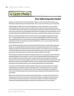# a case study

### **River Valley Cooperative Market**

Starting a co-op often takes more time than organizers imagine, and the story of the River Valley Co-op in Northampton, Massachusetts, proves that quite clearly. The co-op was more than four years in the planning.

Organizing began in 1998, with a variety of interested parties. Farmers and producer co-ops involved in sustainable agriculture wanted to increase the visibility of their products. Community members wanted a conveniently located store that offered one-stop shopping for natural foods and fresh, local products. The idea of a consumer-owned store was also appealing. A group of about 10 people, some involved with other area coops, began talking about establishing a food co-op to create a connection between producers and consumers.

Fifteen years earlier, Northampton had had a small co-op, but it never adapted to changing market conditions—it didn't expand its product line or services to fit the changing lifestyle of members and shoppers. When a large Bread and Circus store (privately owned) opened in a neighboring community, the co-op lost sales and soon closed. The residents discussing the possibilities for a new co-op were aware of the lessons learned from the former co-op.

In June 1999, the Northampton Community Cooperative Market, doing business as River Valley Cooperative Market, was incorporated. Members elected nine directors and began selling member shares. The board organized an Outreach Committee of about 35 member volunteers. They worked to recruit more members via an information table at the local farmer's market, informational brochures, community dances and raffles, presentations at local organizations and buying clubs, and press releases to area media.

With funding from a state Food and Agriculture Department grant, the co-op completed a study in November, establishing feasibility for the proposed co-op store. The board obtained additional grant funding to hire a local consulting firm to develop a business plan, including a market analysis. The grant also allowed the directors to hire a part-time project manager to assist them and to prepare detailed financial projections. With these steps in place, the co-op solidified its plans for a full-service natural foods supermarket specializing in local products and perishables (produce, meat, seafood, prepared foods, and a hearth bakery).

A site search committee looked for a strategic location for the store. Committee members set up timelines, established goals, and identified criteria for a desirable location. They analyzed various sites, including professional market research on selected locations. After choosing a site, they began lease negotiations. Announcement of the proposed location represented a big accomplishment and reenergized all volunteers and members.

Meanwhile, the board reached out to area businesses, explaining the co-op's goals and its commitment to keeping resources within the community. As a result of this exchange, co-op organizers and local business owners formed a new business association. The board also reached out to members, holding frequent membership meetings and distributing press releases and newsletters about the co-op's progress.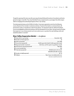Though the opening of the store was still a year away, the board followed the advice of consultants and hired a general manager in July 2001. They chose Rochelle Prunty, an experienced co-op manager. She will be responsible for managing and coordinating all aspects of the co-op's startup.

The total projected startup cost for RVCM is \$3 million. Financing is expected to come from the following sources: 28 percent from member investments and loans, 44 percent from banks or commercial loans, 28 percent from vendor or manufacturer credit. Prunty advises, "It's important to plan for sufficient funding to ensure knowledgeable, professional assistance with the development of your plans. Saving money by avoiding these expenses in your startup may be much more costly to your co-op down the road. Building a solid, wellstudied foundation is essential."

### *River Valley Cooperative Market* — at a glance

|  | \$128,000/week after one year      |
|--|------------------------------------|
|  |                                    |
|  |                                    |
|  | Information compiled November 2001 |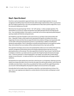### **Step 9. Open the doors!**

Once the co-op has incorporated or approved its basic rules, it is ready to begin operations. As soon as management and staff have been hired, their first tasks will be to begin implementation of the co-op's business plan. Don't forget to publicize the co-op's early accomplishments to help create a positive image of the co-op in the community. Celebrate your first sale!

Most stores have two grand openings. The first—the "soft" opening—is when you begin operations. This opening allows you to test your systems and operations thoroughly, generally with the most forgiving audience—your committed members. A few weeks or a month later, you can throw a big, heavily publicized grand opening, complete with festivities and special events.

Don't forget the crucial role of members in the success of every co-op. Keep in close communication with them—especially if it takes a while to get the store operating at full capacity. Let members know what is happening in the store and when they can expect the kinks to be worked out. Perhaps most importantly, make sure the staff is well trained and prepared to promote co-op membership, in addition to handling their operational responsibilities. There is nothing like a successful and welcoming store to encourage new memberships. And investment from new members will be a welcome boost to the co-op's early cash flow.

Once operations have begun and you have some operating history (about six to nine months), hold a planning retreat for management and the board to discuss how things are going and where to go next. Focus your planning discussions on the next year. This is also a good time to review the "keys to success" (see Part III) and to strategize on what the co-op needs to do to be successful. Don't forget training for the board and management—continuous education is critical to keeping the co-op's leaders up to speed. Also consider taking a member survey at this point—to make sure that the co-op is actually meeting needs and to gauge members' satisfaction.

Be prepared for the rough road that many stores face in their first year or so of operations. Opening a new store requires you to keep many balls in the air at one time. No matter how well you plan and train, some of them will inevitably come down faster or slower than you predicted. Don't allow yourself to be caught off guard when you encounter initial stumbling blocks. Be prepared to adapt to and overcome them as they appear.

Eventually, after the first couple of years of operations, extend the co-op's planning horizon to three or five years. Your co-op's ongoing success depends on constant attention to business basics and keeping in contact with members.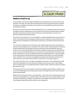# a case study

## **Midtown Food Co-op**

In mid-April 2001, a national chain bought out Memphis's local natural foods store, as well as another natural foods store in the region. One of the stores was closed, leaving a number of area farmers without a market for their produce and neighborhood residents with a long drive to a store that offered natural foods, bulk items, and locally grown produce.

Desiring a new source for these items, residents decided to form a co-op. Though their reasons were varied, all the organizers shared an ideological focus: concerns about the social and environmental impact of corporate agriculture and corporate ownership, interest in health issues and specialized diets, and concerns over agricultural methods and food industry politics.

Once the interest and need for the co-op was established, a core group held potluck dinners each week for six weeks. They researched and discussed bylaws, possible store sites, incorporation, the role of the board, and potential vendors and distributors. By mid-June 2001, a space for the co-op had been located and a lease was signed.

In June and July, the organizers took on the laborious tasks needed to prepare the store for opening. By that point, the core group had grown to over 30 people. For the next two months, members gathered in work parties to tackle site preparation tasks. Plumbing, construction, and electrical work were donated by community members. The co-op purchased \$10,000 worth of bulk bins and kitchen equipment from Ozark Natural Foods Co-op, a retail co-op in Fayetteville, Arkansas, at a very low price. The co-op wholesaler that services the area, Ozark Co-op Warehouse, was also very helpful to the group. It provided background on co-ops, free shipping for the used equipment, and help with planning and stocking the initial inventory. In the words of Elizabeth Sachs, a cofounder, "The co-op world is encouraging because people share information and help. Once our needs were known and we made contact with other co-ops, they were very willing to support us."

Even in this short timeline, the co-op's organizers developed a business plan. They concluded that with 1,000 square feet of selling space, the co-op would need to sell \$25 per square foot per month, or about \$6,000 a week. To meet this goal, the co-op needed 350 members, and each member would have to spend an average of \$20 a week at the co-op.

Financing came from three sources. Member investments provided base capital of \$10,000. In addition, the coop secured a \$10,000 long-term loan through the Ben and Jerry's Hot Fudge Venture Fund. Finally, a local bank loaned the group \$20,000.

Midtown Food Co-op opened its doors in early August 2001—after just four months of planning, potlucks, and hard work. By opening day, the co-op had 400 members. All the activity at the store caught the attention of local media agencies. Before long, newspapers and radio stations were calling for information about the business. Local newspapers featured many articles about the co-op's development.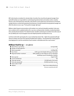MFC relies heavily on members for volunteer labor. Currently, it has not yet found a general manager; three paid staff members are responsible for coordinating all operational tasks and member workers. Jonathan Harrison, chair of the board and a cofounder, notes that the current system puts a lot of pressure on the board and gets directors involved with operational-level decisions. He looks forward to hiring a general manager and offers this advice to new co-ops: "Find a perfect manager right away."

Midtown makes frequent communications with members via e-mail and a biweekly newsletter. It also maintains a website, which is updated weekly with co-op news, working member schedules, membership details, links, and educational materials. The website has been valuable in attracting new members from other areas of the city. Weekly ads in local newspapers have also helped spread the word about the co-op.

Just three months after opening day, the co-op's membership stood at 750—higher than projected, although sales per member were lower than expected. Elizabeth Sachs explains, "This [membership number] appears encouraging and it is, but the commitment of each member is what determines the co-op's success."

### *Midtown Food Co-op* — at a glance

| Required member investment  \$200, payable at a rate of \$25 per year for individuals |
|---------------------------------------------------------------------------------------|
| and \$40 per year for households or families                                          |
|                                                                                       |
|                                                                                       |
|                                                                                       |
|                                                                                       |
|                                                                                       |
|                                                                                       |
| Information compiled November 2001                                                    |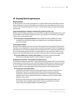# **III. Ensuring Your Co-op's Success**

#### **Keys to success**

As with any business, your co-op's success depends on a number of factors. Paying careful attention to these factors will help your co-op survive the tough first years and grow to be a vibrant organization that can meet members' needs. Keep the following "keys to success" in mind to identify weaknesses and to set priorities for improvements:

#### **A good membership base, including a commitment by members to use the co-op**

Members are the foundation upon which a co-op is built. Without a sufficient membership base, the co-op will flounder. Without a commitment by members to use the co-op, it will not survive. If members aren't willing to commit to the co-op, why should it exist?

 *To assess your co-op's membership base: What percentage of members' weekly food purchases are made at the co-op? What percentage of new shoppers join the co-op? What percentage of sales comes from members?*

#### **A clear purpose and focus**

Many businesses struggle because owners aren't clear about what they want to accomplish. This lack of focus and clarity can be even greater for co-ops, since they are owned by many people. Be clear from the beginning about what your co-op is trying to accomplish. When new opportunities arise, consider them carefully. Pursue them only with member approval and if they do not detract from the co-op's core activities. When a co-op's purpose is clear and understood by everyone involved, it will be much easier to evaluate new opportunities.

 *To assess whether your co-op has a clear purpose: Can all members and potential members clearly and succinctly explain what the co-op does and what it is trying to do?*

#### **An adequate financial base—from members and external sources**

New businesses need money to get started—to finance planning and development efforts, to start operations, to pay employees and other business costs until the store begins collecting money from customers. As owners of a co-op, members need to contribute to the base capital of the business. Member equity should be great enough to enable the co-op to obtain additional financing from banks or other lending institutions.

#### *To assess your co-op's financial base:*

*Calculate the co-op's member-share and member-equity ratios (see "A Primer on Consumer Co-op Membership"). Project the co-op's balance sheet for the next three to five years and calculate projected ratios. Do they near the benchmarks provided? Does the co-op's capital base provide an adequate cushion in case of unexpected interruptions or problems (e.g., if the co-op were unable to operate for a week or two)?*

*Calculate your debt-to-equity ratio: Divide total debt (liabilities) by total equity (member investment, donations, grants, and profit). A good ratio for a startup co-op is between zero and two in other words, up to two dollars of debt for every dollar of equity.*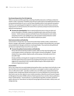#### **Sound operating practices from the beginning**

While a co-op may sound like a good idea, conducting a feasibility study early on will help you determine whether it really is a good idea. A feasibility study will assess market capacity and establish general financial and operational parameters for your co-op. Don't base a feasibility study on overly optimistic assumptions. Once the co-op is operating, good management is required to control costs, monitor finances, and ensure ongoing solvency. As with any business, the income of the co-op (money coming in) must be more than the expenses (money going out).

 *To assess your operating plans:Have an experienced business person review your plans and test your assumptions. If possible, compare your feasibility study or plans with those of a similar business—look for areas you may have overlooked. Do your financial projections seem realistic, and do they prove the co-op's viability? Are your sales assumptions tested and based on market data? Does your manager have the skills needed to implement your plans?*

#### **Good communications and leadership**

Communication is critical to all co-ops. Good communication keeps members, lenders, outside advisors, directors, managers, staff members, competitors, and community members informed about the co-op's goals and accomplishments. Managers and directors must be good leaders. They need to be well qualified and should pursue ongoing training to ensure the co-op's success.

#### *To assess the quality of communications and leadership:*

*Review informational materials provided to members. Make sure they report thoroughly on the co-op's progress, products, and operations. Solicit member comments and feedback—through checkout-line surveys, websites, telephone polls, and focus groups. Continually monitor the coop's public image.*

*Develop and follow a training plan for management and the board of directors. Do they understand their jobs? Do they work to improve areas of weakness? Are they open to new ideas and suggestions for improvement? Is the co-op able to follow through on ideas and plans with a minimum of organizational trauma?*

#### **Avoid isolation**

Each co-op is unique, but it can avoid mistakes by learning from other co-ops. Keep in touch with other co-ops; learn from their errors and accomplishments. Ask another co-op manager to conduct a simple audit of your store or to offer advice to staff—especially in problem areas. Join CGIN to access sample job descriptions, newsletter articles, membership materials, business plans, etc. Join the CGIN listserve to communicate with other food co-ops. Join other regional co-op or industry associations. Attend the annual Consumer Cooperative Management Association (CCMA) conference. Read *Cooperative Grocer* and other industry publications. Bring in outside expertise—business planners, co-op development specialists, consultants, operational experts, attorneys, etc. These advisors can help with training, legal and financial matters, industry issues, and strategic planning.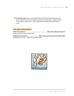■ **To assess this area:** Are you in touch with other food co-ops? Do you share operational informa*tion and data with them? Have you identified outside sources of information—colleagues, books, resource people, conferences, etc.—that can help you learn and make improvements to your co-op?*

# for more information

*Factors in Co-op Success ...................................................................... http://www.ncba.org/success.cfm* A list of reasons why co-ops succeed and fail.

*Guidelines for Co-op Success .................................... http://www.wisc.edu/uwcc/manual/chap\_9.html* Guidelines for new co-ops—things to do and pitfalls to avoid.

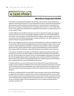# a case study

## **Abundance Cooperative Market**

The Genesee Co-op Foodstore (GCF) operated in Rochester, New York, for 25 years, also providing financial support for a local nonprofit association. The owner claimed the store was a co-op because the nonprofit had a board of directors, and the food store had working members who received a discount in exchange for their labor. However, GCF had no membership structure, and shoppers had no way to join or vote in matters about the store. In fact, a single owner made all decisions regarding the store's operations. In reality, the store was not a co-op, in spite of its name.

In October 1998, the owner decided to put the store up for sale. Four department managers saw an opportunity to convert the store into a true co-op and began negotiations with the owner. They raised \$145,000 from new members, who were willing to invest \$100 shares. While the organizers allowed members to purchase as many shares as they wished, they limited voting to one vote per membership. In July 1999, the group incorporated as the Abundance Cooperative Market (ACM).

After one year of negotiations with the co-op, the owner of GCF decided not to sell the store. Employees arrived at work one day to discover that he had changed the locks and hired a new general manager. The four managers who were organizing ACM quit immediately. As word got around town that the co-op was not going to be able to buy the store, workers resigned from their volunteer and paid staff positions at GCF and joined the effort to organize ACM. Six months later, in March 2000, the Genesee Co-op Foodstore went out of business.

In the meantime, shortly after the managers quit, ACM organizers started a buying club and rented a small storefront to house the club's operations. Pat Manix, a cofounder of ACM and president of the board of directors said, "The buying club was a true lifesaver for the co-op. Working together to participate in the club kept the momentum going among the members and provided us with a convenient and familiar meeting space." After 16 months, the buying club had also generated \$10,000, which contributed to the co-op's financing base. Other contributions gave the co-op a total of \$160,000 for startup costs.

In December 2000, the co-op rented a 5,600-square-foot renovated warehouse space and hired a project manager. The space needed a lot of additional work, and renovations proved to be costly and time consuming. Luckily, members donated many specialized jobs, such as carpentry, electrical work, and architectural work. The co-op was able to purchase used equipment, and the store's initial inventory was provided free by area distributors.

Abundance Co-op Market opened in early April 2001. The group was able to open the store without taking on any debt, but this meant that the co-op had no financial cushion. Pat Manix realized that new co-ops need to have cash ready for operational and marketing costs for a certain period of time after opening day. As she said, "We overlooked the costs for marketing and found out the hard way that it is just as important as other steps. You have to remember to figure in the cost to get people there. From our experience, placing small ads in newspapers just didn't cut it."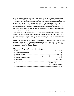Once ACM leaders realized their oversight in not budgeting for marketing, they found a creative way to get the word out inexpensively. They printed postcards on bright colored card stock with a map to the co-op on one side and details about the store on the other. They kept piles of the cards at cash registers and asked members to distribute them in their neighborhoods and mail them to friends. They also placed the cards in the entryways of other stores and handed them out at a local parade. They distributed 5,000 cards in seven months. In Manix's words, "The cards are the most effective and cheapest marketing tool we've used." Later, ACM secured a line of credit from a local bank. It also invested in other forms of advertising and conducted a door-to-door new-member campaign.

The co-op has also formed a partnership with a local Community Supported Agriculture (CSA) farm, which delivers produce to its shareholders from a garage behind the store. The board had initial concerns about CSA taking produce business from the co-op, but in the end the partnership has proved to be mutually beneficial. The co-op has seen increased business from CSA members on pickup days.

Another lesson learned was the importance of comparison shopping at local stores before opening day. As Pat Manix says, "Prices can be overlooked, especially if a distributor does the initial pricing. It's extremely important to make sure that on opening day your prices are comparable or even a bit lower than other stores." That first impression is a lasting one to grocery shoppers.

### *Abundance Cooperative Market* — at a glance

|  | \$50,218/week after one year                                                                                   |
|--|----------------------------------------------------------------------------------------------------------------|
|  |                                                                                                                |
|  | 1000 - 1000 - 1000 PM - 1000 PM - 1000 PM - 1000 PM - 1000 PM - 1000 PM - 1000 PM - 1000 PM - 1000 PM - 1000 P |

Information compiled November 2001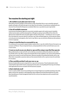# **Ten maxims for starting out right**

#### **1. Be realistic as you plan your new co-op**

Allow plenty of time for people to meet and discuss ideas. Remember that a co-op is owned by a group of people, and leaders will need to be open to new ideas from all members. Group decision making tends to be slow, but it has the benefit of being more considered. Most new co-ops take two years to get started.

### **2. Use all available resources**

Local economic development agencies can provide invaluable support with market research, feasibility studies, business plans, and financial projections. Although your group may be different from others the agencies have worked with, basic principles apply to all types of businesses—including your new co-op. But be on the lookout for resources specific to starting co-ops: state and federal agencies, county extension offices, university personnel and programs, other local co-ops. Most co-ops are extremely willing to provide assistance to new co-op groups.

### **3. Keep in mind the keys to a successful co-op**

It's unnecessary for your group to repeat mistakes made by other co-ops. Be mindful of lessons from past co-op successes and failures. They are important lessons, and paying attention to them can be the key to your own co-op's success.

#### **4. Learn as much as you can about co-ops and the unique ways that they operate**

Many professionals you may work with, such as attorneys, accountants, and business planners, may not be very familiar with co-ops. Many unique and somewhat obscure laws regulate co-ops, and very few professionals have much occasion to work with these laws. Whenever possible, hire professionals familiar with co-ops. When that's not possible or practical, make sure that someone familiar with co-op law reviews the work done for your group.

#### **5. Plan carefully and don't rush your new co-op**

Business fundamentals are just as important for co-ops as for any business. These fundamentals include conducting thorough market research, preparing a business plan, securing adequate financing, and creating a solid organizational structure consistent with the business's purpose.

### **6. Start relatively small**

A new co-op has a better chance of succeeding and surviving if it begins by successfully operating a store. Deli, bakery, and juice bar operations, while appealing, require additional and specialized expertise. Be careful about spreading your limited management talent too thin until you have experience and a successful track record to build on.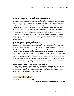### **7. Research options for obtaining financing and assistance**

You will need some initial money to conduct research and prepare your co-op's business plan. Some economic development offices and other agencies have small amounts of money to assist groups with startup financing, or they may be able to help you find such financing. Startup financing is often a loan, which gets repaid if the plan proves viable and the business gets started. In some cases, grants may also be available.

Technical assistance is also available to new businesses from a wide variety of sources. Many states have minority and small business development offices that provide consulting and assistance on marketing and planning issues. Many chambers of commerce have resources for local groups or can help you locate resources. Two federal agencies, the Small Business Administration and the Small Business Development Centers, have many resources for new businesses and can help with bookkeeping, licensing, and business plans. The business departments of local community colleges and universities can also be good sources of assistance. Finally, local and regional co-op associations can help you locate needed resources and provide invaluable support.

#### **8. Pay attention to business fundamentals**

Every successful co-op must have sufficient capital (including adequate financing to carry the co-op through business startup). Business expertise, from the very beginning, is also vital to a co-op's success. Studies have shown that the two main reasons for new co-op failure are insufficient capital and lack of business expertise.

#### **9. Listen to members and shoppers at every opportunity**

Use every available opportunity to get feedback from members and shoppers. What items do they want to buy? What do they like about shopping at the co-op? What would they like to see changed? It's certain that you won't be able to make all the changes suggested. But a successful co-op requires two-way communication between management and members. This communication will lead to valuable operational improvements as well as increased member understanding of the co-op. At the same time, be wary of a vocal minority that may want to dictate policy or restrict the co-op's operations based on their own personal views. Remember that most co-op members "vote with their dollars" every day in the store.

#### **10. Get outside assistance; use the services of experts**

Advisors can provide invaluable experience and help to your new group. Your new co-op has a much better chance of succeeding if you get assistance from those familiar with co-op law and finance. Be sure that the lawyers, business planners, financial advisors, and development consultants you use know what a co-op is and are familiar with the unique aspects of co-op operations.

### for more information

#### *What We Can Learn from Other Co-ops' Mistakes*

*...................................................... http://www.wisc.edu/uwcc/info/coopdev/learn\_others.html*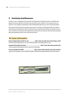# **V. Conclusion And Resources**

Starting a co-op is a challenging and immensely rewarding activity. It will require research, careful planning, patience, and uncounted hours of work from you and many of your members. The co-op may not turn out exactly as it was originally conceptualized. It will inevitably take longer than you wish it would to get started.

But for groups that invest the time and hard work to start a co-op, there are abundant benefits. You will learn about business and develop new skills. You will learn how to run productive meetings. You will become the coowner, with others, of a dynamic and valuable business. Most of all, you will have a vibrant business providing jobs and meeting daily needs in your community. Good luck!

## for more information

**Resource Organizations for New Co-ops ....................** *http://www.wisc.edu/uwcc/manual/app\_a.html* A list of resource organizations for co-ops, mostly oriented to rural and agricultural co-ops.

**Cooperative Development Centers ................................................***http://www.ncba.org/econcenters.cfm* A list of cooperative development centers across the United States.

**Services Available from USDA ..................................** *http://www.rurdev.usda/gov/rbs/coops.csdir.htm* A guide to the cooperative services offered through the USDA's Rural Cooperative Business Services division.

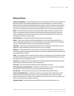### **Glossary of terms**

**articles of incorporation**—the founding legal documents of a corporation. When articles of incorporation are filed with and approved by the appropriate state agency, the corporation begins its own distinct existence, subject to the laws and regulations affecting that type of corporation. Articles of incorporation should set forth the name of the cooperative, the cooperative's duration and address, the purpose of the co-op, the membership structure, membership share requirements, and what happens to the co-op's assets upon dissolution.

**bylaws**—rules that describe how the co-op will conduct its affairs. Bylaws need to be more specific than articles of incorporation, but should not be too specific. Bylaws should specify procedures for approving members, distributing net income, paying back members' capital, and voting, along with the number and responsibilities of directors, and other matters.

**board of directors**—the elected body responsible for the actions of a corporation

**capital**—money used in a business, whether supplied by owners or borrowed. Capital typically refers to money contributed to a business by the owners or stockholders. In accounting, capital is the remaining assets of a business after all debts and amounts owed to others have been deducted.

**corporation**—a legal entity created under state corporate laws. Once established, a corporation has its own legal powers, rights, and liabilities, distinct from those of its owners or managers.

**dividends**—amounts paid to business owners based on their investment. Typically, dividends represent a share of profits, paid to shareholders proportionate to the shares held. Cooperatives sometimes pay dividends to encourage member investment.

**equity**—the ownership interest in a business. Equity is made up of investments by owners (members) and the cumulative profit of the business. Equity is most easily calculated by subtracting all liabilities (amounts owed) from all assets (amounts and property owned).

**incorporate**—to establish a business as a legal entity. Incorporation typically entails filing articles of incorporation and bylaws with the state to conform to a corporate statute.

**net savings**—total income (sales) less total expenses; also called profit or net income

**patronage rebate or patronage refund**—distribution of profits made by a co-op to its members, proportionate to members' use of or purchases from the co-op; also called patronage dividends

**securities laws**—laws that govern how businesses can take investments from potential owners

**shares or membership shares**—investment units sold to co-op members. Shares are like stock in a traditional business, but because of special rules for co-ops, membership shares are not subject to the same regulations that govern stock (as long as certain conditions are met). For that reason, most co-ops prefer to use the term "share" in reference to member investments.

**steering committee**—an organizing group responsible for researching and planning a new co-op.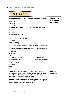# resources

**Cooperative Grocers' Information Network (CGIN)**............. *http://www.cgin.org* P.O. Box 399 Arcata, CA 95518 707/445-4849 *info@cgin.org Cooperative Grocer* **magazine ..................** *http://www.cooperativegrocer.com* P.O. Box 597 Athens, OH 45701 800/878-7333 *dave@cooperativegrocer.com* **National Cooperative Business Association....................***http://www.ncba.org* 1401 New York Avenue, NW; Suite 1100 202/638-6222 *jstevenson@ncba.org* Catalog of books and other materials.............................. *http://www.ncba.org/catalog* List of U.S. co-op development centers......... *http://www.ncba.org/econcenters.cfm* **University of Wisconsin Center for Co-ops ..........** *http://www.wisc.edu/uwcc* 230 Taylor Hall 427 Lorch Street Madison, WI 53706 608/262-3981 **National Cooperative Bank ...............................................** *http://www.ncb.com* **NCB Development Corporation.....................................** *http://www.ncbdc.com* 1725 Eye Street, NW, Suite 600 **Key groups and online resources**

Washington, DC 20006 800/955-9622 202/336-7700

**Baldwin, Van.** *Cooperative Incorporation Sourcebook: Start up Materials for Cooperatives Incorporating Under the California Consumer Cooperative Corporation Law.* Center for Cooperatives, University of California, 1994. Basic explanations of the steps to incorporation, with sample documents

### **Written Resources**

**Chapman, Harold, Doug Holland, and Sean Kenny, editors.** *The Contemporary Director.* Co-operative College of Canada, 1986. A handbook for elected officials of cooperatives, credit unions, and other organizations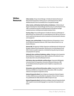### **Written Resources**

**Colter, Carolee.***Hiring a General Manager: A Toolbox for Boards of Directors of Natural Foods Cooperatives.* Northcountry Co-op Development Fund, 1997. A detailed manual on how to successfully hire a co-op general manager

**Colter, Carolee, with Marilyn Scholl and Karen Zimbelman.** *A Relationship of Respect: Evaluating Your General Manager.* Northcountry Co-op Development Fund, 1999. A comprehensive guide to handling all aspects of the general manager evaluation process, including several sample evaluation forms

**Courteau, Mary.** *Financial Management: A Toolbox for Directors and Managers of Natural Food Co-ops.* Northcountry Co-op Development Fund, 1997. An overview of how to read financial statements and an introduction to financial tools for directors and management

**Garoyan, Leon, and Paul Mohn.** *The Board of Directors of Cooperatives.* University of California Cooperative Extension, 1976. A basic reference book for co-op boards of directors

**Gessner, Bill.** *The Expansion Toolbox: Expansions and Relocations for Directors and Managers of Natural Food Cooperatives.* Northcountry Co-op Development Fund, 2000. A hands-on guide to expansion, including financing, planning, store layout, and preparation for opening

**Gutknecht, Dave, and Karen Zimbelman, editors.** *Challenges to the Cooperative Board of Directors.* Cooperative Grocer, 1996. A collection of 10 articles for co-op boards about their role and handling key functions

**Hill, Patricia, Mary Jean McGrath, and Elena Reyes.** *Cooperative Bibliography.* University Center for Cooperatives, University of Wisconsin-Extension, 1981. An annotated and exhaustive guide to works in English on cooperatives and cooperation

**McLanahan, Jack, and Connie McLanahan, editors.** *Cooperative/Credit Union Dictionary and Reference.* Cooperative Alumni Association, 1990. An excellent reference on all aspects of cooperative activity

**National Cooperative Bank.***How to Organize a Cooperative.* National Cooperative Bank, 1992 (brochure and booklet). An adaptation of How to Start a Cooperative, published by the USDA; tailored for different types of co-ops

**National Cooperative Bank.***Draft Articles and Bylaws.* National Cooperative Bank, 1994. A guide to recommended language for co-op articles of incorporation and bylaws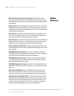**National Society of Accountants for Cooperatives.** *NSAC Resource Guide.* National Association of Accountants for Cooperatives, 1994. A listing of resources specifically addressing financing, accounting, taxation, and legal issues applicable to cooperatives

**Rasmussen, Eric.** *Financial Management in Co-operative Enterprises.* Co-operative College of Canada, 1975. A comprehensive overview of financing in cooperatives, including basics and details about feasibility studies, rate of return and break-even analyses, and cash management

**Roy, Ewell Paul.** *Cooperatives: Development, Principles and Management.* Interstate Printers and Publishers, 1981. A university textbook that comprehensively reviews the theory, history, and practices of co-ops of all types

**Schaars, Marvin A.** *Cooperatives, Principles and Practices.* University of Wisconsin, Madison, 1980 (revised). An overview of cooperative structure and operational applications, mostly oriented toward agricultural and marketing co-ops

**Swanson, Walden, and Mary Myers.** *Business Planning for Cooperatives.* Cooperative Development Services, 1991. A detailed guide to preparing a business plan for a cooperative

**USDA/RBCDS Cooperative Services.***How to Start a Cooperative.* Cooperative Information Report 7. revised 1990. Basic steps and issues involved in starting a coop, primarily oriented toward agricultural and marketing groups

**USDA/RBCDS Cooperative Services.** *Organizing and Conducting Cooperatives' Annual Meetings.* Cooperative Information Report 21. Revised 1983. A guide to preparing and holding an annual meeting

**USDA/RBCDS Cooperative Services.***How to Start a Co-op.* A video that reviews guidelines for and the steps involved in starting a co-op—geared toward marketing co-ops

**Wilson, Rob, and Rob Okun.** *We Own It: Building Financial Security the Co-op Way.* Northeast Cooperatives, 1996. An overview of co-op financial structures, including a case study of a co-op that had to change its member equity structure

**Zimbelman, Karen, and Marilyn Scholl.** *The Ownership Workbook: A Tool for Building Strong Co-op Membership Programs.* Northcountry Co-op Development Fund, 1999. An overview of all aspects of the co-op membership system—from recruitment to joining to meetings to termination—including case examples of innovative and successful programs from co-ops around the country

### **Written Resources**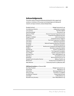# **Acknowledgements**

The author wishes to thank the following individuals for their support and assistance in all phases of this project: providing background, helping with research, serving as reviewers, and providing funding.

#### **CGIN board members** as of January 2002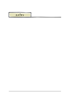# notes